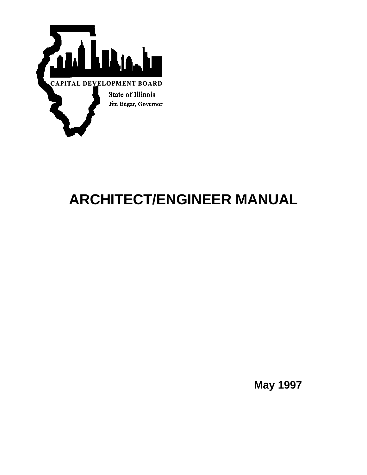

# **ARCHITECT/ENGINEER MANUAL**

**May 1997**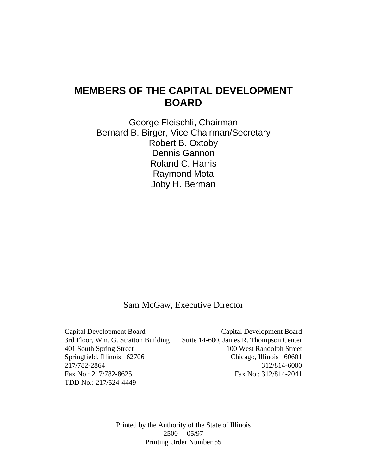### **MEMBERS OF THE CAPITAL DEVELOPMENT BOARD**

George Fleischli, Chairman Bernard B. Birger, Vice Chairman/Secretary Robert B. Oxtoby Dennis Gannon Roland C. Harris Raymond Mota Joby H. Berman

Sam McGaw, Executive Director

TDD No.: 217/524-4449

Capital Development Board Capital Development Board 3rd Floor, Wm. G. Stratton Building Suite 14-600, James R. Thompson Center 401 South Spring Street 100 West Randolph Street Springfield, Illinois 62706 Chicago, Illinois 60601 217/782-2864 312/814-6000 Fax No.: 217/782-8625 Fax No.: 312/814-2041

> Printed by the Authority of the State of Illinois 2500 05/97 Printing Order Number 55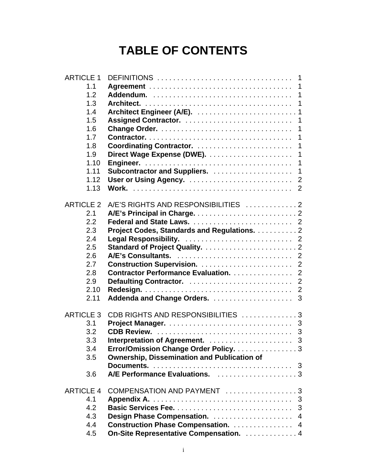## **TABLE OF CONTENTS**

| <b>ARTICLE 1</b> |                                                    |
|------------------|----------------------------------------------------|
| 1.1              |                                                    |
| 1.2              | $\mathbf{1}$                                       |
| 1.3              | $\mathbf 1$                                        |
| 1.4              |                                                    |
| 1.5              | $\mathbf 1$                                        |
| 1.6              | $\mathbf 1$                                        |
| 1.7<br>1.8       | $\mathbf 1$<br>Coordinating Contractor.<br>1       |
| 1.9              | $\mathbf 1$                                        |
| 1.10             | $\mathbf 1$                                        |
| 1.11             | 1                                                  |
| 1.12             |                                                    |
| 1.13             |                                                    |
|                  |                                                    |
| <b>ARTICLE 2</b> | A/E'S RIGHTS AND RESPONSIBILITIES 2                |
| 2.1              |                                                    |
| 2.2              |                                                    |
| 2.3              | Project Codes, Standards and Regulations. 2        |
| 2.4              |                                                    |
| 2.5<br>2.6       |                                                    |
| 2.7              |                                                    |
| 2.8              | <b>Contractor Performance Evaluation.</b> 2        |
| 2.9              | $\overline{2}$                                     |
| 2.10             | $\overline{2}$                                     |
| 2.11             | 3                                                  |
|                  |                                                    |
| <b>ARTICLE 3</b> | CDB RIGHTS AND RESPONSIBILITIES 3                  |
| 3.1              |                                                    |
| 3.2              |                                                    |
| 3.3              | 3                                                  |
| 3.4              | Error/Omission Change Order Policy. 3              |
| 3.5              | <b>Ownership, Dissemination and Publication of</b> |
| 3.6              | A/E Performance Evaluations. 3                     |
|                  |                                                    |
| <b>ARTICLE 4</b> | COMPENSATION AND PAYMENT 3                         |
| 4.1              | 3                                                  |
| 4.2              | 3                                                  |
| 4.3              | Design Phase Compensation.  4                      |
| 4.4              | <b>Construction Phase Compensation.</b> 4          |
| 4.5              | On-Site Representative Compensation. 4             |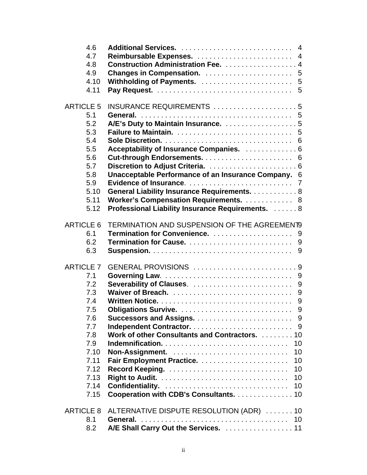| 4.6<br>4.7<br>4.8<br>4.9<br>4.10<br>4.11                                                                                        | Reimbursable Expenses.  4<br><b>Construction Administration Fee.</b> 4<br>5                                                                                                                                                                                                                                    |
|---------------------------------------------------------------------------------------------------------------------------------|----------------------------------------------------------------------------------------------------------------------------------------------------------------------------------------------------------------------------------------------------------------------------------------------------------------|
| <b>ARTICLE 5</b><br>5.1<br>5.2<br>5.3<br>5.4<br>5.5<br>5.6<br>5.7<br>5.8<br>5.9<br>5.10<br>5.11<br>5.12                         | INSURANCE REQUIREMENTS 5<br>A/E's Duty to Maintain Insurance. 5<br>Acceptability of Insurance Companies.  6<br>Unacceptable Performance of an Insurance Company. 6<br>General Liability Insurance Requirements. 8<br>Worker's Compensation Requirements. 8<br>Professional Liability Insurance Requirements. 8 |
| <b>ARTICLE 6</b><br>6.1<br>6.2<br>6.3                                                                                           | TERMINATION AND SUSPENSION OF THE AGREEMENT9<br>9<br>9                                                                                                                                                                                                                                                         |
| <b>ARTICLE 7</b><br>7.1<br>7.2<br>7.3<br>7.4<br>7.5<br>7.6<br>7.7<br>7.8<br>7.9<br>7.10<br>7.11<br>7.12<br>7.13<br>7.14<br>7.15 | GENERAL PROVISIONS 9<br>9<br>Severability of Clauses.<br>9<br>9<br>9<br>9<br>Work of other Consultants and Contractors. 10<br>10<br>10<br>10<br>10<br>10<br>Confidentiality.<br>10<br>Cooperation with CDB's Consultants. 10                                                                                   |
| <b>ARTICLE 8</b><br>8.1<br>8.2                                                                                                  | ALTERNATIVE DISPUTE RESOLUTION (ADR) 10<br>General.<br>10<br>A/E Shall Carry Out the Services.  11                                                                                                                                                                                                             |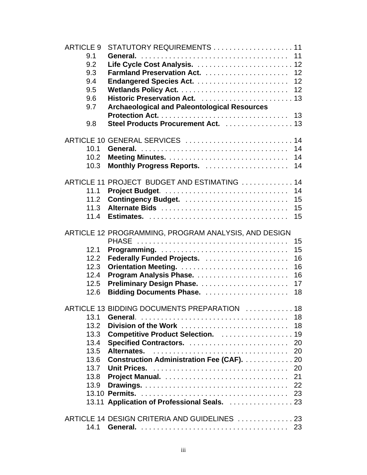| <b>ARTICLE 9</b><br>9.1<br>9.2<br>9.3<br>9.4<br>9.5<br>9.6<br>9.7<br>9.8 | STATUTORY REQUIREMENTS 11<br><b>Archaeological and Paleontological Resources</b><br>Steel Products Procurement Act.  13                                                                                                      | 11<br>12<br>12                         |
|--------------------------------------------------------------------------|------------------------------------------------------------------------------------------------------------------------------------------------------------------------------------------------------------------------------|----------------------------------------|
| 10.1<br>10.2<br>10.3                                                     | ARTICLE 10 GENERAL SERVICES  14                                                                                                                                                                                              | 14<br>14<br>14                         |
| 11.1<br>11.2<br>11.3<br>11.4                                             | ARTICLE 11 PROJECT BUDGET AND ESTIMATING  14<br>Alternate Bids                                                                                                                                                               | 14<br>15<br>15<br>15                   |
| 12.1<br>12.2<br>12.3<br>12.4<br>12.5<br>12.6                             | ARTICLE 12 PROGRAMMING, PROGRAM ANALYSIS, AND DESIGN                                                                                                                                                                         | 15<br>15<br>16<br>16<br>16<br>17<br>18 |
| 13.1<br>13.2<br>13.3<br>13.4<br>13.5<br>13.6<br>13.7<br>13.8<br>13.9     | ARTICLE 13 BIDDING DOCUMENTS PREPARATION  18<br>Division of the Work<br>Competitive Product Selection. 19<br>Alternates.<br><b>Construction Administration Fee (CAF).</b> 20<br>13.11 Application of Professional Seals.  23 | 18<br>18<br>20<br>20<br>20<br>21<br>22 |
| 14.1                                                                     | ARTICLE 14 DESIGN CRITERIA AND GUIDELINES  23                                                                                                                                                                                | 23                                     |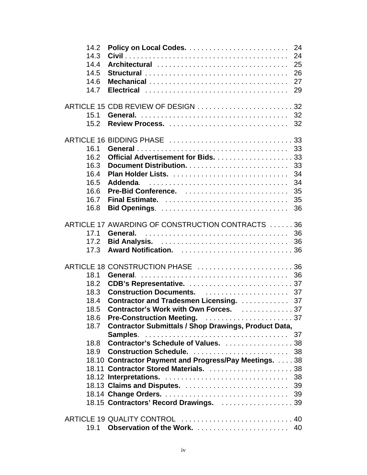| 14.2<br>14.3<br>14.4<br>14.5<br>14.6<br>14.7                 | Architectural                                                                                                                                                                                                                                     | 24<br>24<br>25<br>26<br>27<br>29       |
|--------------------------------------------------------------|---------------------------------------------------------------------------------------------------------------------------------------------------------------------------------------------------------------------------------------------------|----------------------------------------|
| 15.1<br>15.2                                                 | ARTICLE 15 CDB REVIEW OF DESIGN 32                                                                                                                                                                                                                | 32<br>32                               |
| 16.1<br>16.2<br>16.3<br>16.4<br>16.5<br>16.6<br>16.7<br>16.8 | Addenda.                                                                                                                                                                                                                                          | 33<br>33<br>34<br>34<br>35<br>35<br>36 |
| 17.1<br>17.2<br>17.3                                         | ARTICLE 17 AWARDING OF CONSTRUCTION CONTRACTS 36<br>General.                                                                                                                                                                                      | 36<br>36                               |
| 18.1<br>18.2<br>18.3<br>18.4<br>18.5<br>18.6                 | ARTICLE 18 CONSTRUCTION PHASE 36<br>General.<br><b>Contractor and Tradesmen Licensing. </b><br>Contractor's Work with Own Forces. 37                                                                                                              | 36<br>37<br>37                         |
| 18.7<br>18.8<br>18.9                                         | <b>Contractor Submittals / Shop Drawings, Product Data,</b><br>Contractor's Schedule of Values. 38<br>18.10 Contractor Payment and Progress/Pay Meetings. 38<br>18.11 Contractor Stored Materials.  38<br>18.15 Contractors' Record Drawings.  39 |                                        |
| 19.1                                                         |                                                                                                                                                                                                                                                   |                                        |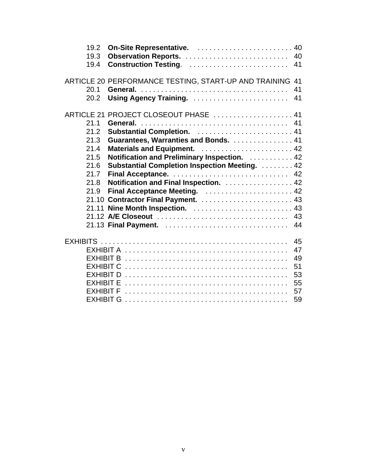| 19.2<br>19.3<br>19.4                                                 | Construction Testing.<br>41                                                                                                                                                                                                                                                                                                      |
|----------------------------------------------------------------------|----------------------------------------------------------------------------------------------------------------------------------------------------------------------------------------------------------------------------------------------------------------------------------------------------------------------------------|
| 20.1<br>20.2                                                         | ARTICLE 20 PERFORMANCE TESTING, START-UP AND TRAINING 41<br>General.<br>41<br>Using Agency Training.<br>41                                                                                                                                                                                                                       |
| 21.1<br>21.2<br>21.3<br>21.4<br>21.5<br>21.6<br>21.7<br>21.8<br>21.9 | ARTICLE 21 PROJECT CLOSEOUT PHASE  41<br>Guarantees, Warranties and Bonds. 41<br>Materials and Equipment.  42<br>Notification and Preliminary Inspection. 42<br><b>Substantial Completion Inspection Meeting.</b> 42<br>Notification and Final Inspection.  42<br>21.11 Nine Month Inspection.  43<br>21.13 Final Payment.<br>44 |
|                                                                      | 45<br>47                                                                                                                                                                                                                                                                                                                         |
|                                                                      | 49<br>51<br>53<br>55<br>57<br>59                                                                                                                                                                                                                                                                                                 |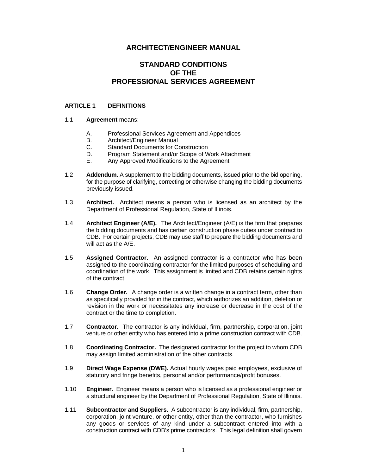#### **ARCHITECT/ENGINEER MANUAL**

#### **STANDARD CONDITIONS OF THE PROFESSIONAL SERVICES AGREEMENT**

#### **ARTICLE 1 DEFINITIONS**

#### 1.1 **Agreement** means:

- A. Professional Services Agreement and Appendices
- B. Architect/Engineer Manual
- C. Standard Documents for Construction
- D. Program Statement and/or Scope of Work Attachment
- E. Any Approved Modifications to the Agreement
- 1.2 **Addendum.** A supplement to the bidding documents, issued prior to the bid opening, for the purpose of clarifying, correcting or otherwise changing the bidding documents previously issued.
- 1.3 **Architect.** Architect means a person who is licensed as an architect by the Department of Professional Regulation, State of Illinois.
- 1.4 **Architect Engineer (A/E).** The Architect/Engineer (A/E) is the firm that prepares the bidding documents and has certain construction phase duties under contract to CDB. For certain projects, CDB may use staff to prepare the bidding documents and will act as the A/E.
- 1.5 **Assigned Contractor.** An assigned contractor is a contractor who has been assigned to the coordinating contractor for the limited purposes of scheduling and coordination of the work. This assignment is limited and CDB retains certain rights of the contract.
- 1.6 **Change Order.** A change order is a written change in a contract term, other than as specifically provided for in the contract, which authorizes an addition, deletion or revision in the work or necessitates any increase or decrease in the cost of the contract or the time to completion.
- 1.7 **Contractor.** The contractor is any individual, firm, partnership, corporation, joint venture or other entity who has entered into a prime construction contract with CDB.
- 1.8 **Coordinating Contractor.** The designated contractor for the project to whom CDB may assign limited administration of the other contracts.
- 1.9 **Direct Wage Expense (DWE).** Actual hourly wages paid employees, exclusive of statutory and fringe benefits, personal and/or performance/profit bonuses.
- 1.10 **Engineer.** Engineer means a person who is licensed as a professional engineer or a structural engineer by the Department of Professional Regulation, State of Illinois.
- 1.11 **Subcontractor and Suppliers.** A subcontractor is any individual, firm, partnership, corporation, joint venture, or other entity, other than the contractor, who furnishes any goods or services of any kind under a subcontract entered into with a construction contract with CDB's prime contractors. This legal definition shall govern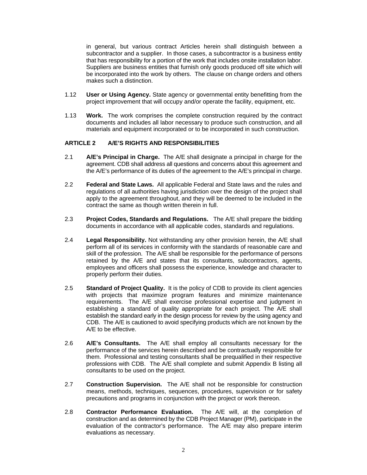in general, but various contract Articles herein shall distinguish between a subcontractor and a supplier. In those cases, a subcontractor is a business entity that has responsibility for a portion of the work that includes onsite installation labor. Suppliers are business entities that furnish only goods produced off site which will be incorporated into the work by others. The clause on change orders and others makes such a distinction.

- 1.12 **User or Using Agency.** State agency or governmental entity benefitting from the project improvement that will occupy and/or operate the facility, equipment, etc.
- 1.13 **Work.** The work comprises the complete construction required by the contract documents and includes all labor necessary to produce such construction, and all materials and equipment incorporated or to be incorporated in such construction.

#### **ARTICLE 2 A/E'S RIGHTS AND RESPONSIBILITIES**

- 2.1 **A/E's Principal in Charge.** The A/E shall designate a principal in charge for the agreement. CDB shall address all questions and concerns about this agreement and the A/E's performance of its duties of the agreement to the A/E's principal in charge.
- 2.2 **Federal and State Laws.** All applicable Federal and State laws and the rules and regulations of all authorities having jurisdiction over the design of the project shall apply to the agreement throughout, and they will be deemed to be included in the contract the same as though written therein in full.
- 2.3 **Project Codes, Standards and Regulations.** The A/E shall prepare the bidding documents in accordance with all applicable codes, standards and regulations.
- 2.4 **Legal Responsibility.** Not withstanding any other provision herein, the A/E shall perform all of its services in conformity with the standards of reasonable care and skill of the profession. The A/E shall be responsible for the performance of persons retained by the A/E and states that its consultants, subcontractors, agents, employees and officers shall possess the experience, knowledge and character to properly perform their duties.
- 2.5 **Standard of Project Quality.** It is the policy of CDB to provide its client agencies with projects that maximize program features and minimize maintenance requirements. The A/E shall exercise professional expertise and judgment in establishing a standard of quality appropriate for each project. The A/E shall establish the standard early in the design process for review by the using agency and CDB. The A/E is cautioned to avoid specifying products which are not known by the A/E to be effective.
- 2.6 **A/E's Consultants.** The A/E shall employ all consultants necessary for the performance of the services herein described and be contractually responsible for them. Professional and testing consultants shall be prequalified in their respective professions with CDB. The A/E shall complete and submit Appendix B listing all consultants to be used on the project.
- 2.7 **Construction Supervision.** The A/E shall not be responsible for construction means, methods, techniques, sequences, procedures, supervision or for safety precautions and programs in conjunction with the project or work thereon.
- 2.8 **Contractor Performance Evaluation.** The A/E will, at the completion of construction and as determined by the CDB Project Manager (PM), participate in the evaluation of the contractor's performance. The A/E may also prepare interim evaluations as necessary.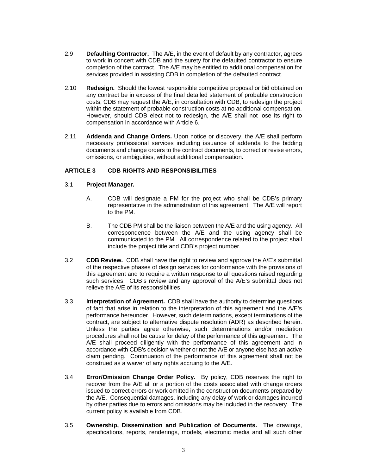- 2.9 **Defaulting Contractor.** The A/E, in the event of default by any contractor, agrees to work in concert with CDB and the surety for the defaulted contractor to ensure completion of the contract. The A/E may be entitled to additional compensation for services provided in assisting CDB in completion of the defaulted contract.
- 2.10 **Redesign.** Should the lowest responsible competitive proposal or bid obtained on any contract be in excess of the final detailed statement of probable construction costs, CDB may request the A/E, in consultation with CDB, to redesign the project within the statement of probable construction costs at no additional compensation. However, should CDB elect not to redesign, the A/E shall not lose its right to compensation in accordance with Article 6.
- 2.11 **Addenda and Change Orders.** Upon notice or discovery, the A/E shall perform necessary professional services including issuance of addenda to the bidding documents and change orders to the contract documents, to correct or revise errors, omissions, or ambiguities, without additional compensation.

#### **ARTICLE 3 CDB RIGHTS AND RESPONSIBILITIES**

- 3.1 **Project Manager.**
	- A. CDB will designate a PM for the project who shall be CDB's primary representative in the administration of this agreement. The A/E will report to the PM.
	- B. The CDB PM shall be the liaison between the A/E and the using agency. All correspondence between the A/E and the using agency shall be communicated to the PM. All correspondence related to the project shall include the project title and CDB's project number.
- 3.2 **CDB Review.** CDB shall have the right to review and approve the A/E's submittal of the respective phases of design services for conformance with the provisions of this agreement and to require a written response to all questions raised regarding such services. CDB's review and any approval of the A/E's submittal does not relieve the A/E of its responsibilities.
- 3.3 **Interpretation of Agreement.** CDB shall have the authority to determine questions of fact that arise in relation to the interpretation of this agreement and the A/E's performance hereunder. However, such determinations, except terminations of the contract, are subject to alternative dispute resolution (ADR) as described herein. Unless the parties agree otherwise, such determinations and/or mediation procedures shall not be cause for delay of the performance of this agreement. The A/E shall proceed diligently with the performance of this agreement and in accordance with CDB's decision whether or not the A/E or anyone else has an active claim pending. Continuation of the performance of this agreement shall not be construed as a waiver of any rights accruing to the A/E.
- 3.4 **Error/Omission Change Order Policy.** By policy, CDB reserves the right to recover from the A/E all or a portion of the costs associated with change orders issued to correct errors or work omitted in the construction documents prepared by the A/E. Consequential damages, including any delay of work or damages incurred by other parties due to errors and omissions may be included in the recovery. The current policy is available from CDB.
- 3.5 **Ownership, Dissemination and Publication of Documents.** The drawings, specifications, reports, renderings, models, electronic media and all such other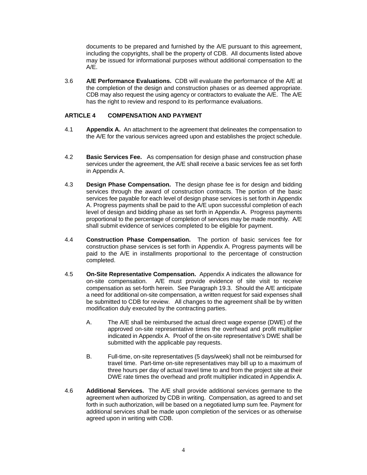documents to be prepared and furnished by the A/E pursuant to this agreement, including the copyrights, shall be the property of CDB. All documents listed above may be issued for informational purposes without additional compensation to the A/E.

3.6 **A/E Performance Evaluations.** CDB will evaluate the performance of the A/E at the completion of the design and construction phases or as deemed appropriate. CDB may also request the using agency or contractors to evaluate the A/E. The A/E has the right to review and respond to its performance evaluations.

#### **ARTICLE 4 COMPENSATION AND PAYMENT**

- 4.1 **Appendix A.** An attachment to the agreement that delineates the compensation to the A/E for the various services agreed upon and establishes the project schedule.
- 4.2 **Basic Services Fee.** As compensation for design phase and construction phase services under the agreement, the A/E shall receive a basic services fee as set forth in Appendix A.
- 4.3 **Design Phase Compensation.** The design phase fee is for design and bidding services through the award of construction contracts. The portion of the basic services fee payable for each level of design phase services is set forth in Appendix A. Progress payments shall be paid to the A/E upon successful completion of each level of design and bidding phase as set forth in Appendix A. Progress payments proportional to the percentage of completion of services may be made monthly. A/E shall submit evidence of services completed to be eligible for payment.
- 4.4 **Construction Phase Compensation.** The portion of basic services fee for construction phase services is set forth in Appendix A. Progress payments will be paid to the A/E in installments proportional to the percentage of construction completed.
- 4.5 **On-Site Representative Compensation.** Appendix A indicates the allowance for on-site compensation. A/E must provide evidence of site visit to receive compensation as set-forth herein. See Paragraph 19.3. Should the A/E anticipate a need for additional on-site compensation, a written request for said expenses shall be submitted to CDB for review. All changes to the agreement shall be by written modification duly executed by the contracting parties.
	- A. The A/E shall be reimbursed the actual direct wage expense (DWE) of the approved on-site representative times the overhead and profit multiplier indicated in Appendix A. Proof of the on-site representative's DWE shall be submitted with the applicable pay requests.
	- B. Full-time, on-site representatives (5 days/week) shall not be reimbursed for travel time. Part-time on-site representatives may bill up to a maximum of three hours per day of actual travel time to and from the project site at their DWE rate times the overhead and profit multiplier indicated in Appendix A.
- 4.6 **Additional Services.** The A/E shall provide additional services germane to the agreement when authorized by CDB in writing. Compensation, as agreed to and set forth in such authorization, will be based on a negotiated lump sum fee. Payment for additional services shall be made upon completion of the services or as otherwise agreed upon in writing with CDB.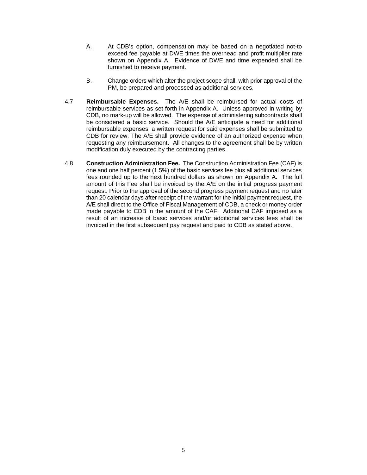- A. At CDB's option, compensation may be based on a negotiated not-to exceed fee payable at DWE times the overhead and profit multiplier rate shown on Appendix A. Evidence of DWE and time expended shall be furnished to receive payment.
- B. Change orders which alter the project scope shall, with prior approval of the PM, be prepared and processed as additional services.
- 4.7 **Reimbursable Expenses.** The A/E shall be reimbursed for actual costs of reimbursable services as set forth in Appendix A. Unless approved in writing by CDB, no mark-up will be allowed. The expense of administering subcontracts shall be considered a basic service. Should the A/E anticipate a need for additional reimbursable expenses, a written request for said expenses shall be submitted to CDB for review. The A/E shall provide evidence of an authorized expense when requesting any reimbursement. All changes to the agreement shall be by written modification duly executed by the contracting parties.
- 4.8 **Construction Administration Fee.** The Construction Administration Fee (CAF) is one and one half percent (1.5%) of the basic services fee plus all additional services fees rounded up to the next hundred dollars as shown on Appendix A. The full amount of this Fee shall be invoiced by the A/E on the initial progress payment request. Prior to the approval of the second progress payment request and no later than 20 calendar days after receipt of the warrant for the initial payment request, the A/E shall direct to the Office of Fiscal Management of CDB, a check or money order made payable to CDB in the amount of the CAF. Additional CAF imposed as a result of an increase of basic services and/or additional services fees shall be invoiced in the first subsequent pay request and paid to CDB as stated above.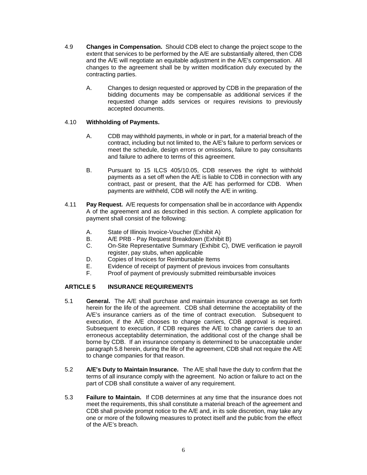- 4.9 **Changes in Compensation.** Should CDB elect to change the project scope to the extent that services to be performed by the A/E are substantially altered, then CDB and the A/E will negotiate an equitable adjustment in the A/E's compensation. All changes to the agreement shall be by written modification duly executed by the contracting parties.
	- A. Changes to design requested or approved by CDB in the preparation of the bidding documents may be compensable as additional services if the requested change adds services or requires revisions to previously accepted documents.

#### 4.10 **Withholding of Payments.**

- A. CDB may withhold payments, in whole or in part, for a material breach of the contract, including but not limited to, the A/E's failure to perform services or meet the schedule, design errors or omissions, failure to pay consultants and failure to adhere to terms of this agreement.
- B. Pursuant to 15 ILCS 405/10.05, CDB reserves the right to withhold payments as a set off when the A/E is liable to CDB in connection with any contract, past or present, that the A/E has performed for CDB. When payments are withheld, CDB will notify the A/E in writing.
- 4.11 **Pay Request.** A/E requests for compensation shall be in accordance with Appendix A of the agreement and as described in this section. A complete application for payment shall consist of the following:
	- A. State of Illinois Invoice-Voucher (Exhibit A)
	- B. A/E PRB Pay Request Breakdown (Exhibit B)
	- C. On-Site Representative Summary (Exhibit C), DWE verification ie payroll register, pay stubs, when applicable
	- D. Copies of Invoices for Reimbursable Items
	- E. Evidence of receipt of payment of previous invoices from consultants
	- F. Proof of payment of previously submitted reimbursable invoices

#### **ARTICLE 5 INSURANCE REQUIREMENTS**

- 5.1 **General.** The A/E shall purchase and maintain insurance coverage as set forth herein for the life of the agreement. CDB shall determine the acceptability of the A/E's insurance carriers as of the time of contract execution. Subsequent to execution, if the A/E chooses to change carriers, CDB approval is required. Subsequent to execution, if CDB requires the A/E to change carriers due to an erroneous acceptability determination, the additional cost of the change shall be borne by CDB. If an insurance company is determined to be unacceptable under paragraph 5.8 herein, during the life of the agreement, CDB shall not require the A/E to change companies for that reason.
- 5.2 **A/E's Duty to Maintain Insurance.** The A/E shall have the duty to confirm that the terms of all insurance comply with the agreement. No action or failure to act on the part of CDB shall constitute a waiver of any requirement.
- 5.3 **Failure to Maintain.** If CDB determines at any time that the insurance does not meet the requirements, this shall constitute a material breach of the agreement and CDB shall provide prompt notice to the A/E and, in its sole discretion, may take any one or more of the following measures to protect itself and the public from the effect of the A/E's breach.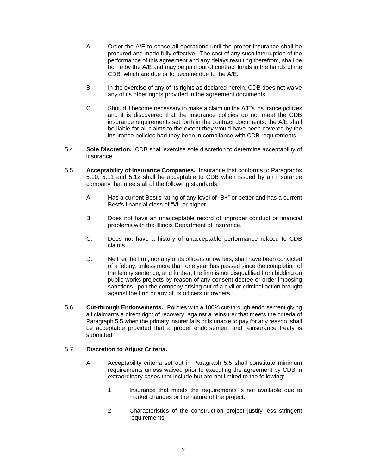- A. Order the A/E to cease all operations until the proper insurance shall be procured and made fully effective. The cost of any such interruption of the performance of this agreement and any delays resulting therefrom, shall be borne by the A/E and may be paid out of contract funds in the hands of the CDB, which are due or to become due to the A/E.
- B. In the exercise of any of its rights as declared herein, CDB does not waive any of its other rights provided in the agreement documents.
- C. Should it become necessary to make a claim on the A/E's insurance policies and it is discovered that the insurance policies do not meet the CDB insurance requirements set forth in the contract documents, the A/E shall be liable for all claims to the extent they would have been covered by the insurance policies had they been in compliance with CDB requirements.
- 5.4 **Sole Discretion.** CDB shall exercise sole discretion to determine acceptability of insurance.
- 5.5 **Acceptability of Insurance Companies.** Insurance that conforms to Paragraphs 5.10, 5.11 and 5.12 shall be acceptable to CDB when issued by an insurance company that meets all of the following standards:
	- A. Has a current Best's rating of any level of "B+" or better and has a current Best's financial class of "VI" or higher.
	- B. Does not have an unacceptable record of improper conduct or financial problems with the Illinois Department of Insurance.
	- C. Does not have a history of unacceptable performance related to CDB claims.
	- D. Neither the firm, nor any of its officers or owners, shall have been convicted of a felony, unless more than one year has passed since the completion of the felony sentence, and further, the firm is not disqualified from bidding on public works projects by reason of any consent decree or order imposing sanctions upon the company arising out of a civil or criminal action brought against the firm or any of its officers or owners.
- 5.6 **Cut-through Endorsements.** Policies with a 100% cut-through endorsement giving all claimants a direct right of recovery, against a reinsurer that meets the criteria of Paragraph 5.5 when the primary insurer fails or is unable to pay for any reason, shall be acceptable provided that a proper endorsement and reinsurance treaty is submitted.

#### 5.7 **Discretion to Adjust Criteria.**

- A. Acceptability criteria set out in Paragraph 5.5 shall constitute minimum requirements unless waived prior to executing the agreement by CDB in extraordinary cases that include but are not limited to the following:
	- 1. Insurance that meets the requirements is not available due to market changes or the nature of the project.
	- 2. Characteristics of the construction project justify less stringent requirements.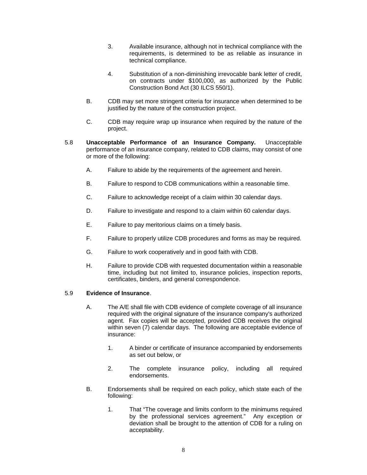- 3. Available insurance, although not in technical compliance with the requirements, is determined to be as reliable as insurance in technical compliance.
- 4. Substitution of a non-diminishing irrevocable bank letter of credit, on contracts under \$100,000, as authorized by the Public Construction Bond Act (30 ILCS 550/1).
- B. CDB may set more stringent criteria for insurance when determined to be justified by the nature of the construction project.
- C. CDB may require wrap up insurance when required by the nature of the project.
- 5.8 **Unacceptable Performance of an Insurance Company.** Unacceptable performance of an insurance company, related to CDB claims, may consist of one or more of the following:
	- A. Failure to abide by the requirements of the agreement and herein.
	- B. Failure to respond to CDB communications within a reasonable time.
	- C. Failure to acknowledge receipt of a claim within 30 calendar days.
	- D. Failure to investigate and respond to a claim within 60 calendar days.
	- E. Failure to pay meritorious claims on a timely basis.
	- F. Failure to properly utilize CDB procedures and forms as may be required.
	- G. Failure to work cooperatively and in good faith with CDB.
	- H. Failure to provide CDB with requested documentation within a reasonable time, including but not limited to, insurance policies, inspection reports, certificates, binders, and general correspondence.

#### 5.9 **Evidence of Insurance**.

- A. The A/E shall file with CDB evidence of complete coverage of all insurance required with the original signature of the insurance company's authorized agent. Fax copies will be accepted, provided CDB receives the original within seven (7) calendar days. The following are acceptable evidence of insurance:
	- 1. A binder or certificate of insurance accompanied by endorsements as set out below, or
	- 2. The complete insurance policy, including all required endorsements.
- B. Endorsements shall be required on each policy, which state each of the following:
	- 1. That "The coverage and limits conform to the minimums required by the professional services agreement." Any exception or deviation shall be brought to the attention of CDB for a ruling on acceptability.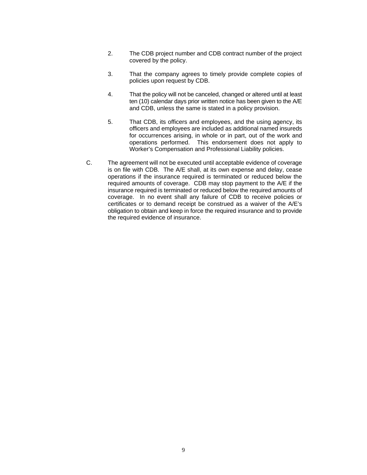- 2. The CDB project number and CDB contract number of the project covered by the policy.
- 3. That the company agrees to timely provide complete copies of policies upon request by CDB.
- 4. That the policy will not be canceled, changed or altered until at least ten (10) calendar days prior written notice has been given to the A/E and CDB, unless the same is stated in a policy provision.
- 5. That CDB, its officers and employees, and the using agency, its officers and employees are included as additional named insureds for occurrences arising, in whole or in part, out of the work and operations performed. This endorsement does not apply to Worker's Compensation and Professional Liability policies.
- C. The agreement will not be executed until acceptable evidence of coverage is on file with CDB. The A/E shall, at its own expense and delay, cease operations if the insurance required is terminated or reduced below the required amounts of coverage. CDB may stop payment to the A/E if the insurance required is terminated or reduced below the required amounts of coverage. In no event shall any failure of CDB to receive policies or certificates or to demand receipt be construed as a waiver of the A/E's obligation to obtain and keep in force the required insurance and to provide the required evidence of insurance.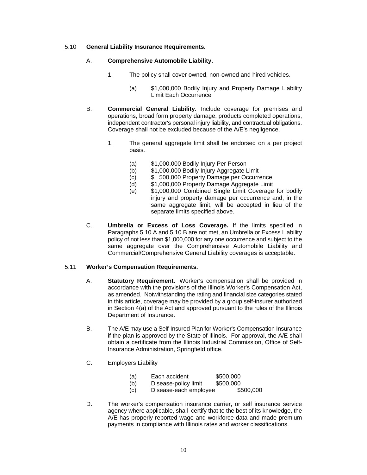#### 5.10 **General Liability Insurance Requirements.**

#### A. **Comprehensive Automobile Liability.**

- 1. The policy shall cover owned, non-owned and hired vehicles.
	- (a) \$1,000,000 Bodily Injury and Property Damage Liability Limit Each Occurrence
- B. **Commercial General Liability.** Include coverage for premises and operations, broad form property damage, products completed operations, independent contractor's personal injury liability, and contractual obligations. Coverage shall not be excluded because of the A/E's negligence.
	- 1. The general aggregate limit shall be endorsed on a per project basis.
		- (a) \$1,000,000 Bodily Injury Per Person
		- (b) \$1,000,000 Bodily Injury Aggregate Limit
		- (c) \$ 500,000 Property Damage per Occurrence
		- (d) \$1,000,000 Property Damage Aggregate Limit
		- (e) \$1,000,000 Combined Single Limit Coverage for bodily injury and property damage per occurrence and, in the same aggregate limit, will be accepted in lieu of the separate limits specified above.
- C. **Umbrella or Excess of Loss Coverage.** If the limits specified in Paragraphs 5.10.A and 5.10.B are not met, an Umbrella or Excess Liability policy of not less than \$1,000,000 for any one occurrence and subject to the same aggregate over the Comprehensive Automobile Liability and Commercial/Comprehensive General Liability coverages is acceptable.

#### 5.11 **Worker's Compensation Requirements.**

- A. **Statutory Requirement.** Worker's compensation shall be provided in accordance with the provisions of the Illinois Worker's Compensation Act, as amended. Notwithstanding the rating and financial size categories stated in this article, coverage may be provided by a group self-insurer authorized in Section 4(a) of the Act and approved pursuant to the rules of the Illinois Department of Insurance.
- B. The A/E may use a Self-Insured Plan for Worker's Compensation Insurance if the plan is approved by the State of Illinois. For approval, the A/E shall obtain a certificate from the Illinois Industrial Commission, Office of Self-Insurance Administration, Springfield office.
- C. Employers Liability
	- (a) Each accident \$500,000
	- (b) Disease-policy limit \$500,000
	- (c) Disease-each employee \$500,000
- D. The worker's compensation insurance carrier, or self insurance service agency where applicable, shall certify that to the best of its knowledge, the A/E has properly reported wage and workforce data and made premium payments in compliance with Illinois rates and worker classifications.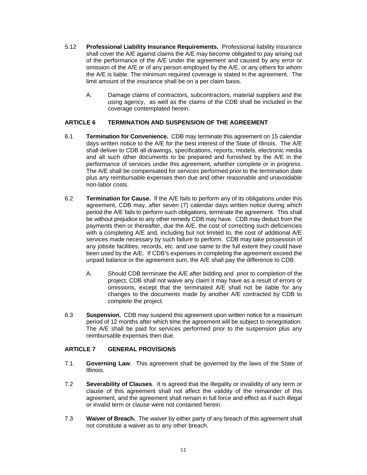- 5.12 **Professional Liability Insurance Requirements.** Professional liability insurance shall cover the A/E against claims the A/E may become obligated to pay arising out of the performance of the A/E under the agreement and caused by any error or omission of the A/E or of any person employed by the A/E, or any others for whom the A/E is liable. The minimum required coverage is stated in the agreement.The limit amount of the insurance shall be on a per claim basis.
	- A. Damage claims of contractors, subcontractors, material suppliers and the using agency, as well as the claims of the CDB shall be included in the coverage contemplated herein.

#### **ARTICLE 6 TERMINATION AND SUSPENSION OF THE AGREEMENT**

- 6.1 **Termination for Convenience.** CDB may terminate this agreement on 15 calendar days written notice to the A/E for the best interest of the State of Illinois. The A/E shall deliver to CDB all drawings, specifications, reports, models, electronic media and all such other documents to be prepared and furnished by the A/E in the performance of services under this agreement, whether complete or in progress. The A/E shall be compensated for services performed prior to the termination date plus any reimbursable expenses then due and other reasonable and unavoidable non-labor costs.
- 6.2 **Termination for Cause.** If the A/E fails to perform any of its obligations under this agreement, CDB may, after seven (7) calendar days written notice during which period the A/E fails to perform such obligations, terminate the agreement. This shall be without prejudice to any other remedy CDB may have. CDB may deduct from the payments then or thereafter, due the A/E, the cost of correcting such deficiencies with a completing A/E and, including but not limited to, the cost of additional A/E services made necessary by such failure to perform. CDB may take possession of any jobsite facilities, records, etc. and use same to the full extent they could have been used by the A/E. If CDB's expenses in completing the agreement exceed the unpaid balance or the agreement sum, the A/E shall pay the difference to CDB.
	- A. Should CDB terminate the A/E after bidding and prior to completion of the project, CDB shall not waive any claim it may have as a result of errors or omissions, except that the terminated A/E shall not be liable for any changes to the documents made by another A/E contracted by CDB to complete the project.
- 6.3 **Suspension.** CDB may suspend this agreement upon written notice for a maximum period of 12 months after which time the agreement will be subject to renegotiation. The A/E shall be paid for services performed prior to the suspension plus any reimbursable expenses then due.

#### **ARTICLE 7 GENERAL PROVISIONS**

- 7.1 **Governing Law**. This agreement shall be governed by the laws of the State of Illinois.
- 7.2 **Severability of Clauses**. It is agreed that the illegality or invalidity of any term or clause of this agreement shall not affect the validity of the remainder of this agreement, and the agreement shall remain in full force and effect as if such illegal or invalid term or clause were not contained herein.
- 7.3 **Waiver of Breach.** The waiver by either party of any breach of this agreement shall not constitute a waiver as to any other breach.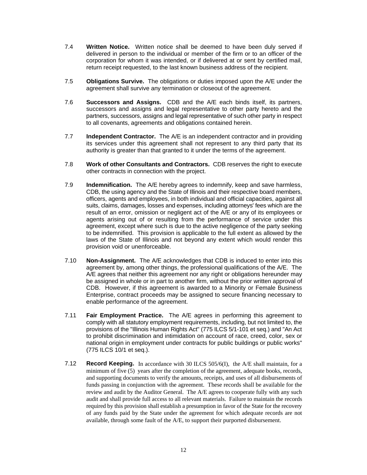- 7.4 **Written Notice.** Written notice shall be deemed to have been duly served if delivered in person to the individual or member of the firm or to an officer of the corporation for whom it was intended, or if delivered at or sent by certified mail, return receipt requested, to the last known business address of the recipient.
- 7.5 **Obligations Survive.** The obligations or duties imposed upon the A/E under the agreement shall survive any termination or closeout of the agreement.
- 7.6 **Successors and Assigns.** CDB and the A/E each binds itself, its partners, successors and assigns and legal representative to other party hereto and the partners, successors, assigns and legal representative of such other party in respect to all covenants, agreements and obligations contained herein.
- 7.7 **Independent Contractor.** The A/E is an independent contractor and in providing its services under this agreement shall not represent to any third party that its authority is greater than that granted to it under the terms of the agreement.
- 7.8 **Work of other Consultants and Contractors.** CDB reserves the right to execute other contracts in connection with the project.
- 7.9 **Indemnification.** The A/E hereby agrees to indemnify, keep and save harmless, CDB, the using agency and the State of Illinois and their respective board members, officers, agents and employees, in both individual and official capacities, against all suits, claims, damages, losses and expenses, including attorneys' fees which are the result of an error, omission or negligent act of the A/E or any of its employees or agents arising out of or resulting from the performance of service under this agreement, except where such is due to the active negligence of the party seeking to be indemnified. This provision is applicable to the full extent as allowed by the laws of the State of Illinois and not beyond any extent which would render this provision void or unenforceable.
- 7.10 **Non-Assignment.** The A/E acknowledges that CDB is induced to enter into this agreement by, among other things, the professional qualifications of the A/E. The A/E agrees that neither this agreement nor any right or obligations hereunder may be assigned in whole or in part to another firm, without the prior written approval of CDB. However, if this agreement is awarded to a Minority or Female Business Enterprise, contract proceeds may be assigned to secure financing necessary to enable performance of the agreement.
- 7.11 **Fair Employment Practice.** The A/E agrees in performing this agreement to comply with all statutory employment requirements, including, but not limited to, the provisions of the "Illinois Human Rights Act" (775 ILCS 5/1-101 et seq.) and "An Act to prohibit discrimination and intimidation on account of race, creed, color, sex or national origin in employment under contracts for public buildings or public works" (775 ILCS 10/1 et seq.).
- 7.12 **Record Keeping.** In accordance with 30 ILCS 505/6(I), the A/E shall maintain, for a minimum of five (5) years after the completion of the agreement, adequate books, records, and supporting documents to verify the amounts, receipts, and uses of all disbursements of funds passing in conjunction with the agreement. These records shall be available for the review and audit by the Auditor General. The A/E agrees to cooperate fully with any such audit and shall provide full access to all relevant materials. Failure to maintain the records required by this provision shall establish a presumption in favor of the State for the recovery of any funds paid by the State under the agreement for which adequate records are not available, through some fault of the A/E, to support their purported disbursement.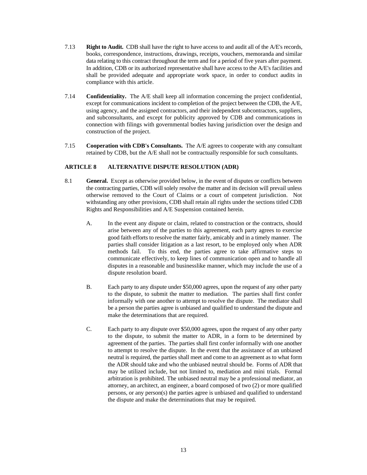- 7.13 **Right to Audit.** CDB shall have the right to have access to and audit all of the A/E's records, books, correspondence, instructions, drawings, receipts, vouchers, memoranda and similar data relating to this contract throughout the term and for a period of five years after payment. In addition, CDB or its authorized representative shall have access to the A/E's facilities and shall be provided adequate and appropriate work space, in order to conduct audits in compliance with this article.
- 7.14 **Confidentiality.** The A/E shall keep all information concerning the project confidential, except for communications incident to completion of the project between the CDB, the A/E, using agency, and the assigned contractors, and their independent subcontractors, suppliers, and subconsultants, and except for publicity approved by CDB and communications in connection with filings with governmental bodies having jurisdiction over the design and construction of the project.
- 7.15 **Cooperation with CDB's Consultants.** The A/E agrees to cooperate with any consultant retained by CDB, but the A/E shall not be contractually responsible for such consultants.

#### **ARTICLE 8 ALTERNATIVE DISPUTE RESOLUTION (ADR)**

- 8.1 **General.** Except as otherwise provided below, in the event of disputes or conflicts between the contracting parties, CDB will solely resolve the matter and its decision will prevail unless otherwise removed to the Court of Claims or a court of competent jurisdiction. Not withstanding any other provisions, CDB shall retain all rights under the sections titled CDB Rights and Responsibilities and A/E Suspension contained herein.
	- A. In the event any dispute or claim, related to construction or the contracts, should arise between any of the parties to this agreement, each party agrees to exercise good faith efforts to resolve the matter fairly, amicably and in a timely manner. The parties shall consider litigation as a last resort, to be employed only when ADR methods fail. To this end, the parties agree to take affirmative steps to communicate effectively, to keep lines of communication open and to handle all disputes in a reasonable and businesslike manner, which may include the use of a dispute resolution board.
	- B. Each party to any dispute under \$50,000 agrees, upon the request of any other party to the dispute, to submit the matter to mediation. The parties shall first confer informally with one another to attempt to resolve the dispute. The mediator shall be a person the parties agree is unbiased and qualified to understand the dispute and make the determinations that are required.
	- C. Each party to any dispute over \$50,000 agrees, upon the request of any other party to the dispute, to submit the matter to ADR, in a form to be determined by agreement of the parties. The parties shall first confer informally with one another to attempt to resolve the dispute. In the event that the assistance of an unbiased neutral is required, the parties shall meet and come to an agreement as to what form the ADR should take and who the unbiased neutral should be. Forms of ADR that may be utilized include, but not limited to, mediation and mini trials. Formal arbitration is prohibited. The unbiased neutral may be a professional mediator, an attorney, an architect, an engineer, a board composed of two (2) or more qualified persons, or any person(s) the parties agree is unbiased and qualified to understand the dispute and make the determinations that may be required.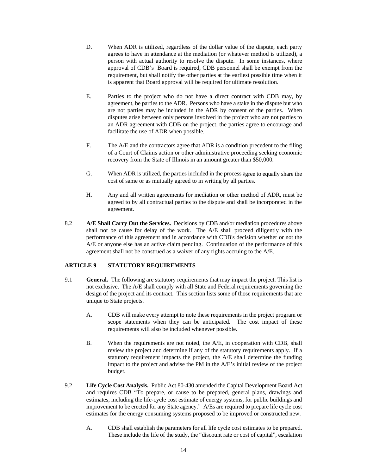- D. When ADR is utilized, regardless of the dollar value of the dispute, each party agrees to have in attendance at the mediation (or whatever method is utilized), a person with actual authority to resolve the dispute. In some instances, where approval of CDB's Board is required, CDB personnel shall be exempt from the requirement, but shall notify the other parties at the earliest possible time when it is apparent that Board approval will be required for ultimate resolution.
- E. Parties to the project who do not have a direct contract with CDB may, by agreement, be parties to the ADR. Persons who have a stake in the dispute but who are not parties may be included in the ADR by consent of the parties. When disputes arise between only persons involved in the project who are not parties to an ADR agreement with CDB on the project, the parties agree to encourage and facilitate the use of ADR when possible.
- F. The A/E and the contractors agree that ADR is a condition precedent to the filing of a Court of Claims action or other administrative proceeding seeking economic recovery from the State of Illinois in an amount greater than \$50,000.
- G. When ADR is utilized, the parties included in the process agree to equally share the cost of same or as mutually agreed to in writing by all parties.
- H. Any and all written agreements for mediation or other method of ADR, must be agreed to by all contractual parties to the dispute and shall be incorporated in the agreement.
- 8.2 **A/E Shall Carry Out the Services.** Decisions by CDB and/or mediation procedures above shall not be cause for delay of the work. The A/E shall proceed diligently with the performance of this agreement and in accordance with CDB's decision whether or not the A/E or anyone else has an active claim pending. Continuation of the performance of this agreement shall not be construed as a waiver of any rights accruing to the A/E.

#### **ARTICLE 9 STATUTORY REQUIREMENTS**

- 9.1 **General.** The following are statutory requirements that may impact the project. This list is not exclusive. The A/E shall comply with all State and Federal requirements governing the design of the project and its contract. This section lists some of those requirements that are unique to State projects.
	- A. CDB will make every attempt to note these requirements in the project program or scope statements when they can be anticipated. The cost impact of these requirements will also be included whenever possible.
	- B. When the requirements are not noted, the A/E, in cooperation with CDB, shall review the project and determine if any of the statutory requirements apply. If a statutory requirement impacts the project, the A/E shall determine the funding impact to the project and advise the PM in the A/E's initial review of the project budget.
- 9.2 **Life Cycle Cost Analysis.** Public Act 80-430 amended the Capital Development Board Act and requires CDB "To prepare, or cause to be prepared, general plans, drawings and estimates, including the life-cycle cost estimate of energy systems, for public buildings and improvement to be erected for any State agency." A/Es are required to prepare life cycle cost estimates for the energy consuming systems proposed to be improved or constructed new.
	- A. CDB shall establish the parameters for all life cycle cost estimates to be prepared. These include the life of the study, the "discount rate or cost of capital", escalation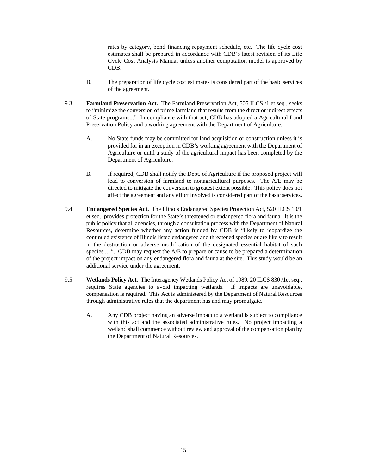rates by category, bond financing repayment schedule, etc. The life cycle cost estimates shall be prepared in accordance with CDB's latest revision of its Life Cycle Cost Analysis Manual unless another computation model is approved by CDB.

- B. The preparation of life cycle cost estimates is considered part of the basic services of the agreement.
- 9.3 **Farmland Preservation Act.** The Farmland Preservation Act, 505 ILCS /1 et seq., seeks to "minimize the conversion of prime farmland that results from the direct or indirect effects of State programs..." In compliance with that act, CDB has adopted a Agricultural Land Preservation Policy and a working agreement with the Department of Agriculture.
	- A. No State funds may be committed for land acquisition or construction unless it is provided for in an exception in CDB's working agreement with the Department of Agriculture or until a study of the agricultural impact has been completed by the Department of Agriculture.
	- B. If required, CDB shall notify the Dept. of Agriculture if the proposed project will lead to conversion of farmland to nonagricultural purposes. The A/E may be directed to mitigate the conversion to greatest extent possible. This policy does not affect the agreement and any effort involved is considered part of the basic services.
- 9.4 **Endangered Species Act.** The Illinois Endangered Species Protection Act, 520 ILCS 10/1 et seq., provides protection for the State's threatened or endangered flora and fauna. It is the public policy that all agencies, through a consultation process with the Department of Natural Resources, determine whether any action funded by CDB is "likely to jeopardize the continued existence of Illinois listed endangered and threatened species or are likely to result in the destruction or adverse modification of the designated essential habitat of such species.....". CDB may request the A/E to prepare or cause to be prepared a determination of the project impact on any endangered flora and fauna at the site. This study would be an additional service under the agreement.
- 9.5 **Wetlands Policy Act.** The Interagency Wetlands Policy Act of 1989, 20 ILCS 830 /1et seq., requires State agencies to avoid impacting wetlands. If impacts are unavoidable, compensation is required. This Act is administered by the Department of Natural Resources through administrative rules that the department has and may promulgate.
	- A. Any CDB project having an adverse impact to a wetland is subject to compliance with this act and the associated administrative rules. No project impacting a wetland shall commence without review and approval of the compensation plan by the Department of Natural Resources.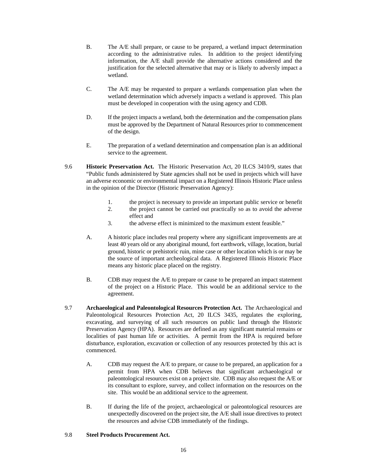- B. The A/E shall prepare, or cause to be prepared, a wetland impact determination according to the administrative rules. In addition to the project identifying information, the A/E shall provide the alternative actions considered and the justification for the selected alternative that may or is likely to adversly impact a wetland.
- C. The A/E may be requested to prepare a wetlands compensation plan when the wetland determination which adversely impacts a wetland is approved. This plan must be developed in cooperation with the using agency and CDB.
- D. If the project impacts a wetland, both the determination and the compensation plans must be approved by the Department of Natural Resources prior to commencement of the design.
- E. The preparation of a wetland determination and compensation plan is an additional service to the agreement.
- 9.6 **Historic Preservation Act.** The Historic Preservation Act, 20 ILCS 3410/9, states that "Public funds administered by State agencies shall not be used in projects which will have an adverse economic or environmental impact on a Registered Illinois Historic Place unless in the opinion of the Director (Historic Preservation Agency):
	- 1. the project is necessary to provide an important public service or benefit
	- 2. the project cannot be carried out practically so as to avoid the adverse effect and
	- 3. the adverse effect is minimized to the maximum extent feasible."
	- A. A historic place includes real property where any significant improvements are at least 40 years old or any aboriginal mound, fort earthwork, village, location, burial ground, historic or prehistoric ruin, mine case or other location which is or may be the source of important archeological data. A Registered Illinois Historic Place means any historic place placed on the registry.
	- B. CDB may request the A/E to prepare or cause to be prepared an impact statement of the project on a Historic Place. This would be an additional service to the agreement.
- 9.7 **Archaeological and Paleontological Resources Protection Act.** The Archaeological and Paleontological Resources Protection Act, 20 ILCS 3435, regulates the exploring, excavating, and surveying of all such resources on public land through the Historic Preservation Agency (HPA). Resources are defined as any significant material remains or localities of past human life or activities. A permit from the HPA is required before disturbance, exploration, excavation or collection of any resources protected by this act is commenced.
	- A. CDB may request the A/E to prepare, or cause to be prepared, an application for a permit from HPA when CDB believes that significant archaeological or paleontological resources exist on a project site. CDB may also request the A/E or its consultant to explore, survey, and collect information on the resources on the site. This would be an additional service to the agreement.
	- B. If during the life of the project, archaeological or paleontological resources are unexpectedly discovered on the project site, the A/E shall issue directives to protect the resources and advise CDB immediately of the findings.

#### 9.8 **Steel Products Procurement Act.**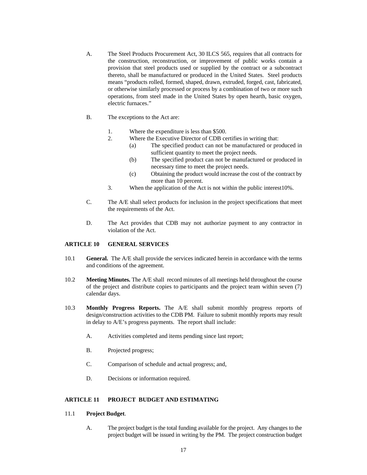- A. The Steel Products Procurement Act, 30 ILCS 565, requires that all contracts for the construction, reconstruction, or improvement of public works contain a provision that steel products used or supplied by the contract or a subcontract thereto, shall be manufactured or produced in the United States. Steel products means "products rolled, formed, shaped, drawn, extruded, forged, cast, fabricated, or otherwise similarly processed or process by a combination of two or more such operations, from steel made in the United States by open hearth, basic oxygen, electric furnaces."
- B. The exceptions to the Act are:
	- 1. Where the expenditure is less than \$500.
	- 2. Where the Executive Director of CDB certifies in writing that:
		- (a) The specified product can not be manufactured or produced in sufficient quantity to meet the project needs.
		- (b) The specified product can not be manufactured or produced in necessary time to meet the project needs.
		- (c) Obtaining the product would increase the cost of the contract by more than 10 percent.
	- 3. When the application of the Act is not within the public interest10%.
- C. The A/E shall select products for inclusion in the project specifications that meet the requirements of the Act.
- D. The Act provides that CDB may not authorize payment to any contractor in violation of the Act.

#### **ARTICLE 10 GENERAL SERVICES**

- 10.1 **General.** The A/E shall provide the services indicated herein in accordance with the terms and conditions of the agreement.
- 10.2 **Meeting Minutes.** The A/E shall record minutes of all meetings held throughout the course of the project and distribute copies to participants and the project team within seven (7) calendar days.
- 10.3 **Monthly Progress Reports.** The A/E shall submit monthly progress reports of design/construction activities to the CDB PM. Failure to submit monthly reports may result in delay to A/E's progress payments. The report shall include:
	- A. Activities completed and items pending since last report;
	- B. Projected progress;
	- C. Comparison of schedule and actual progress; and,
	- D. Decisions or information required.

#### **ARTICLE 11 PROJECT BUDGET AND ESTIMATING**

#### 11.1 **Project Budget**.

A. The project budget is the total funding available for the project. Any changes to the project budget will be issued in writing by the PM. The project construction budget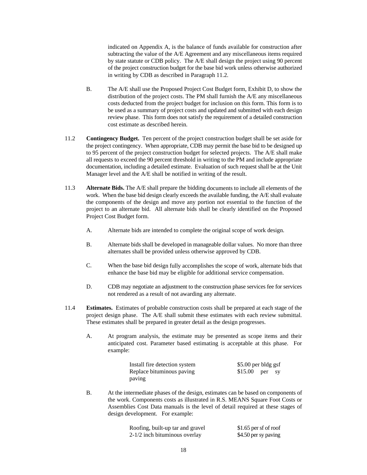indicated on Appendix A, is the balance of funds available for construction after subtracting the value of the A/E Agreement and any miscellaneous items required by state statute or CDB policy. The A/E shall design the project using 90 percent of the project construction budget for the base bid work unless otherwise authorized in writing by CDB as described in Paragraph 11.2.

- B. The A/E shall use the Proposed Project Cost Budget form, Exhibit D, to show the distribution of the project costs. The PM shall furnish the A/E any miscellaneous costs deducted from the project budget for inclusion on this form. This form is to be used as a summary of project costs and updated and submitted with each design review phase. This form does not satisfy the requirement of a detailed construction cost estimate as described herein.
- 11.2 **Contingency Budget.** Ten percent of the project construction budget shall be set aside for the project contingency. When appropriate, CDB may permit the base bid to be designed up to 95 percent of the project construction budget for selected projects. The A/E shall make all requests to exceed the 90 percent threshold in writing to the PM and include appropriate documentation, including a detailed estimate. Evaluation of such request shall be at the Unit Manager level and the A/E shall be notified in writing of the result.
- 11.3 **Alternate Bids.** The A/E shall prepare the bidding documents to include all elements of the work. When the base bid design clearly exceeds the available funding, the A/E shall evaluate the components of the design and move any portion not essential to the function of the project to an alternate bid. All alternate bids shall be clearly identified on the Proposed Project Cost Budget form.
	- A. Alternate bids are intended to complete the original scope of work design.
	- B. Alternate bids shall be developed in manageable dollar values. No more than three alternates shall be provided unless otherwise approved by CDB.
	- C. When the base bid design fully accomplishes the scope of work, alternate bids that enhance the base bid may be eligible for additional service compensation.
	- D. CDB may negotiate an adjustment to the construction phase services fee for services not rendered as a result of not awarding any alternate.
- 11.4 **Estimates.** Estimates of probable construction costs shall be prepared at each stage of the project design phase. The A/E shall submit these estimates with each review submittal. These estimates shall be prepared in greater detail as the design progresses.
	- A. At program analysis, the estimate may be presented as scope items and their anticipated cost. Parameter based estimating is acceptable at this phase. For example:

| Install fire detection system | \$5.00 per bldg gsf |  |
|-------------------------------|---------------------|--|
| Replace bituminous paving     | $$15.00$ per sy     |  |
| paving                        |                     |  |

B. At the intermediate phases of the design, estimates can be based on components of the work. Components costs as illustrated in R.S. MEANS Square Foot Costs or Assemblies Cost Data manuals is the level of detail required at these stages of design development. For example:

| Roofing, built-up tar and gravel | $$1.65$ per sf of roof |
|----------------------------------|------------------------|
| $2-1/2$ inch bituminous overlay  | \$4.50 per sy paving   |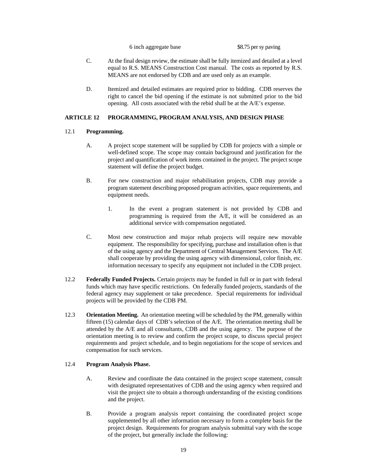6 inch aggregate base \$8.75 per sy paving

- C. At the final design review, the estimate shall be fully itemized and detailed at a level equal to R.S. MEANS Construction Cost manual. The costs as reported by R.S. MEANS are not endorsed by CDB and are used only as an example.
- D. Itemized and detailed estimates are required prior to bidding. CDB reserves the right to cancel the bid opening if the estimate is not submitted prior to the bid opening. All costs associated with the rebid shall be at the A/E's expense.

#### **ARTICLE 12 PROGRAMMING, PROGRAM ANALYSIS, AND DESIGN PHASE**

#### 12.1 **Programming.**

- A. A project scope statement will be supplied by CDB for projects with a simple or well-defined scope. The scope may contain background and justification for the project and quantification of work items contained in the project. The project scope statement will define the project budget.
- B. For new construction and major rehabilitation projects, CDB may provide a program statement describing proposed program activities, space requirements, and equipment needs.
	- 1. In the event a program statement is not provided by CDB and programming is required from the A/E, it will be considered as an additional service with compensation negotiated.
- C. Most new construction and major rehab projects will require new movable equipment. The responsibility for specifying, purchase and installation often is that of the using agency and the Department of Central Management Services. The A/E shall cooperate by providing the using agency with dimensional, color finish, etc. information necessary to specify any equipment not included in the CDB project.
- 12.2 **Federally Funded Projects.** Certain projects may be funded in full or in part with federal funds which may have specific restrictions. On federally funded projects, standards of the federal agency may supplement or take precedence. Special requirements for individual projects will be provided by the CDB PM.
- 12.3 **Orientation Meeting.** An orientation meeting will be scheduled by the PM, generally within fifteen (15) calendar days of CDB's selection of the A/E. The orientation meeting shall be attended by the A/E and all consultants, CDB and the using agency. The purpose of the orientation meeting is to review and confirm the project scope, to discuss special project requirements and project schedule, and to begin negotiations for the scope of services and compensation for such services.

#### 12.4 **Program Analysis Phase.**

- A. Review and coordinate the data contained in the project scope statement, consult with designated representatives of CDB and the using agency when required and visit the project site to obtain a thorough understanding of the existing conditions and the project.
- B. Provide a program analysis report containing the coordinated project scope supplemented by all other information necessary to form a complete basis for the project design. Requirements for program analysis submittal vary with the scope of the project, but generally include the following: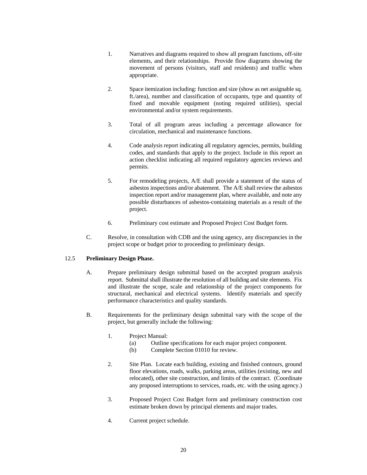- 1. Narratives and diagrams required to show all program functions, off-site elements, and their relationships. Provide flow diagrams showing the movement of persons (visitors, staff and residents) and traffic when appropriate.
- 2. Space itemization including: function and size (show as net assignable sq. ft./area), number and classification of occupants, type and quantity of fixed and movable equipment (noting required utilities), special environmental and/or system requirements.
- 3. Total of all program areas including a percentage allowance for circulation, mechanical and maintenance functions.
- 4. Code analysis report indicating all regulatory agencies, permits, building codes, and standards that apply to the project. Include in this report an action checklist indicating all required regulatory agencies reviews and permits.
- 5. For remodeling projects, A/E shall provide a statement of the status of asbestos inspections and/or abatement. The A/E shall review the asbestos inspection report and/or management plan, where available, and note any possible disturbances of asbestos-containing materials as a result of the project.
- 6. Preliminary cost estimate and Proposed Project Cost Budget form.
- C. Resolve, in consultation with CDB and the using agency, any discrepancies in the project scope or budget prior to proceeding to preliminary design.

#### 12.5 **Preliminary Design Phase.**

- A. Prepare preliminary design submittal based on the accepted program analysis report. Submittal shall illustrate the resolution of all building and site elements. Fix and illustrate the scope, scale and relationship of the project components for structural, mechanical and electrical systems. Identify materials and specify performance characteristics and quality standards.
- B. Requirements for the preliminary design submittal vary with the scope of the project, but generally include the following:
	- 1. Project Manual:
		- (a) Outline specifications for each major project component.
		- (b) Complete Section 01010 for review.
	- 2. Site Plan. Locate each building, existing and finished contours, ground floor elevations, roads, walks, parking areas, utilities (existing, new and relocated), other site construction, and limits of the contract. (Coordinate any proposed interruptions to services, roads, etc. with the using agency.)
	- 3. Proposed Project Cost Budget form and preliminary construction cost estimate broken down by principal elements and major trades.
	- 4. Current project schedule.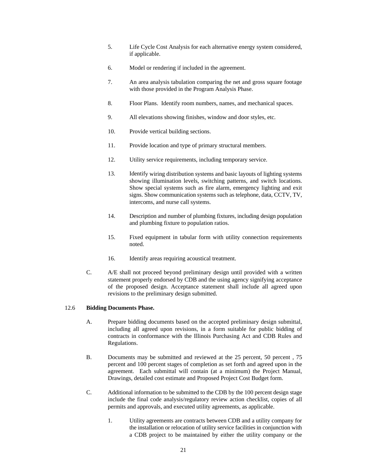- 5. Life Cycle Cost Analysis for each alternative energy system considered, if applicable.
- 6. Model or rendering if included in the agreement.
- 7. An area analysis tabulation comparing the net and gross square footage with those provided in the Program Analysis Phase.
- 8. Floor Plans. Identify room numbers, names, and mechanical spaces.
- 9. All elevations showing finishes, window and door styles, etc.
- 10. Provide vertical building sections.
- 11. Provide location and type of primary structural members.
- 12. Utility service requirements, including temporary service.
- 13. Identify wiring distribution systems and basic layouts of lighting systems showing illumination levels, switching patterns, and switch locations. Show special systems such as fire alarm, emergency lighting and exit signs. Show communication systems such as telephone, data, CCTV, TV, intercoms, and nurse call systems.
- 14. Description and number of plumbing fixtures, including design population and plumbing fixture to population ratios.
- 15. Fixed equipment in tabular form with utility connection requirements noted.
- 16. Identify areas requiring acoustical treatment.
- C. A/E shall not proceed beyond preliminary design until provided with a written statement properly endorsed by CDB and the using agency signifying acceptance of the proposed design. Acceptance statement shall include all agreed upon revisions to the preliminary design submitted.

#### 12.6 **Bidding Documents Phase.**

- A. Prepare bidding documents based on the accepted preliminary design submittal, including all agreed upon revisions, in a form suitable for public bidding of contracts in conformance with the Illinois Purchasing Act and CDB Rules and Regulations.
- B. Documents may be submitted and reviewed at the 25 percent, 50 percent , 75 percent and 100 percent stages of completion as set forth and agreed upon in the agreement. Each submittal will contain (at a minimum) the Project Manual, Drawings, detailed cost estimate and Proposed Project Cost Budget form.
- C. Additional information to be submitted to the CDB by the 100 percent design stage include the final code analysis/regulatory review action checklist, copies of all permits and approvals, and executed utility agreements, as applicable.
	- 1. Utility agreements are contracts between CDB and a utility company for the installation or relocation of utility service facilities in conjunction with a CDB project to be maintained by either the utility company or the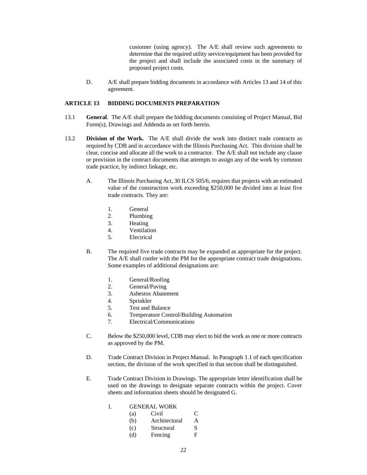customer (using agency). The A/E shall review such agreements to determine that the required utility service/equipment has been provided for the project and shall include the associated costs in the summary of proposed project costs.

D. A/E shall prepare bidding documents in accordance with Articles 13 and 14 of this agreement.

#### **ARTICLE 13 BIDDING DOCUMENTS PREPARATION**

- 13.1 **General**. The A/E shall prepare the bidding documents consisting of Project Manual, Bid Form(s), Drawings and Addenda as set forth herein.
- 13.2 **Division of the Work.** The A/E shall divide the work into distinct trade contracts as required by CDB and in accordance with the Illinois Purchasing Act. This division shall be clear, concise and allocate all the work to a contractor. The A/E shall not include any clause or provision in the contract documents that attempts to assign any of the work by common trade practice, by indirect linkage, etc.
	- A. The Illinois Purchasing Act, 30 ILCS 505/6, requires that projects with an estimated value of the construction work exceeding \$250,000 be divided into at least five trade contracts. They are:
		- 1. General
		- 2. Plumbing
		- 3. Heating
		- 4. Ventilation
		- 5. Electrical
	- B. The required five trade contracts may be expanded as appropriate for the project. The A/E shall confer with the PM for the appropriate contract trade designations. Some examples of additional designations are:
		- 1. General/Roofing
		- 2. General/Paving
		- 3. Asbestos Abatement
		- 4. Sprinkler
		- 5. Test and Balance
		- 6. Temperature Control/Building Automation
		- 7. Electrical/Communications
	- C. Below the \$250,000 level, CDB may elect to bid the work as one or more contracts as approved by the PM.
	- D. Trade Contract Division in Project Manual. In Paragraph 1.1 of each specification section, the division of the work specified in that section shall be distinguished.
	- E. Trade Contract Division in Drawings. The appropriate letter identification shall be used on the drawings to designate separate contracts within the project. Cover sheets and information sheets should be designated G.

#### 1. GENERAL WORK

- (a) Civil C
- (b) Architectural A
- (c) Structural S
- (d) Fencing F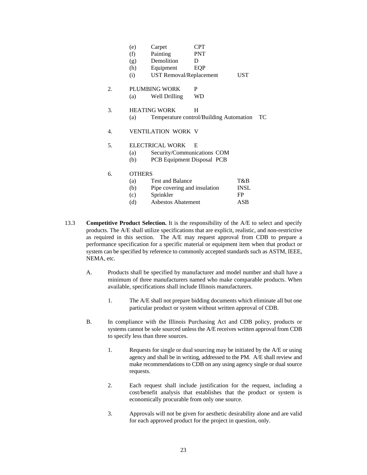|    | (e)           | Carpet                         | <b>CPT</b>                              |             |
|----|---------------|--------------------------------|-----------------------------------------|-------------|
|    | (f)           | Painting                       | <b>PNT</b>                              |             |
|    | (g)           | Demolition                     | D                                       |             |
|    | (h)           | Equipment                      | EQP                                     |             |
|    | (i)           | <b>UST Removal/Replacement</b> |                                         | <b>UST</b>  |
| 2. |               | PLUMBING WORK                  | P                                       |             |
|    | (a)           | Well Drilling                  | <b>WD</b>                               |             |
| 3. |               | <b>HEATING WORK</b>            | H                                       |             |
|    | (a)           |                                | Temperature control/Building Automation | TС          |
| 4. |               | <b>VENTILATION WORK V</b>      |                                         |             |
| 5. |               | ELECTRICAL WORK                | E                                       |             |
|    | (a)           | Security/Communications COM    |                                         |             |
|    | (b)           | PCB Equipment Disposal PCB     |                                         |             |
| б. | <b>OTHERS</b> |                                |                                         |             |
|    | (a)           | <b>Test and Balance</b>        |                                         | T&B         |
|    | (b)           | Pipe covering and insulation   |                                         | <b>INSL</b> |
|    | (c)           | Sprinkler                      |                                         | <b>FP</b>   |
|    | (d)           | <b>Asbestos Abatement</b>      |                                         | ASB         |
|    |               |                                |                                         |             |

- 13.3 **Competitive Product Selection.** It is the responsibility of the A/E to select and specify products. The A/E shall utilize specifications that are explicit, realistic, and non-restrictive as required in this section. The A/E may request approval from CDB to prepare a performance specification for a specific material or equipment item when that product or system can be specified by reference to commonly accepted standards such as ASTM, IEEE, NEMA, etc.
	- A. Products shall be specified by manufacturer and model number and shall have a minimum of three manufacturers named who make comparable products. When available, specifications shall include Illinois manufacturers.
		- 1. The A/E shall not prepare bidding documents which eliminate all but one particular product or system without written approval of CDB.
	- B. In compliance with the Illinois Purchasing Act and CDB policy, products or systems cannot be sole sourced unless the A/E receives written approval from CDB to specify less than three sources.
		- 1. Requests for single or dual sourcing may be initiated by the A/E or using agency and shall be in writing, addressed to the PM. A/E shall review and make recommendations to CDB on any using agency single or dual source requests.
		- 2. Each request shall include justification for the request, including a cost/benefit analysis that establishes that the product or system is economically procurable from only one source.
		- 3. Approvals will not be given for aesthetic desirability alone and are valid for each approved product for the project in question, only.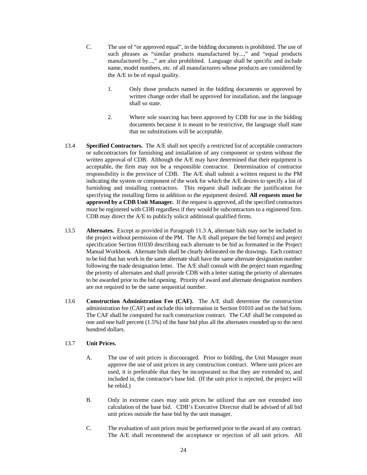- C. The use of "or approved equal", in the bidding documents is prohibited. The use of such phrases as "similar products manufactured by...," and "equal products manufactured by...," are also prohibited. Language shall be specific and include name, model numbers, etc. of all manufacturers whose products are considered by the A/E to be of equal quality.
	- 1. Only those products named in the bidding documents or approved by written change order shall be approved for installation, and the language shall so state.
	- 2. Where sole sourcing has been approved by CDB for use in the bidding documents because it is meant to be restrictive, the language shall state that no substitutions will be acceptable.
- 13.4 **Specified Contractors.** The A/E shall not specify a restricted list of acceptable contractors or subcontractors for furnishing and installation of any component or system without the written approval of CDB. Although the A/E may have determined that their equipment is acceptable, the firm may not be a responsible contractor. Determination of contractor responsibility is the province of CDB. The A/E shall submit a written request to the PM indicating the system or component of the work for which the A/E desires to specify a list of furnishing and installing contractors. This request shall indicate the justification for specifying the installing firms in addition to the equipment desired. **All requests must be approved by a CDB Unit Manager.** If the request is approved, all the specified contractors must be registered with CDB regardless if they would be subcontractors to a registered firm. CDB may direct the A/E to publicly solicit additional qualified firms.
- 13.5 **Alternates.** Except as provided in Paragraph 11.3 A, alternate bids may not be included in the project without permission of the PM. The A/E shall prepare the bid form(s) and project specification Section 01030 describing each alternate to be bid as formatted in the Project Manual Workbook. Alternate bids shall be clearly delineated on the drawings. Each contract to be bid that has work in the same alternate shall have the same alternate designation number following the trade designation letter. The A/E shall consult with the project team regarding the priority of alternates and shall provide CDB with a letter stating the priority of alternates to be awarded prior to the bid opening. Priority of award and alternate designation numbers are not required to be the same sequential number.
- 13.6 **Construction Administration Fee (CAF).** The A/E shall determine the construction administration fee (CAF) and include this information in Section 01010 and on the bid form. The CAF shall be computed for each construction contract. The CAF shall be computed as one and one half percent (1.5%) of the base bid plus all the alternates rounded up to the next hundred dollars.

#### 13.7 **Unit Prices.**

- A. The use of unit prices is discouraged. Prior to bidding, the Unit Manager must approve the use of unit prices in any construction contract. Where unit prices are used, it is preferable that they be incorporated so that they are extended to, and included in, the contractor's base bid. (If the unit price is rejected, the project will be rebid.)
- B. Only in extreme cases may unit prices be utilized that are not extended into calculation of the base bid. CDB's Executive Director shall be advised of all bid unit prices outside the base bid by the unit manager.
- C. The evaluation of unit prices must be performed prior to the award of any contract. The A/E shall recommend the acceptance or rejection of all unit prices. All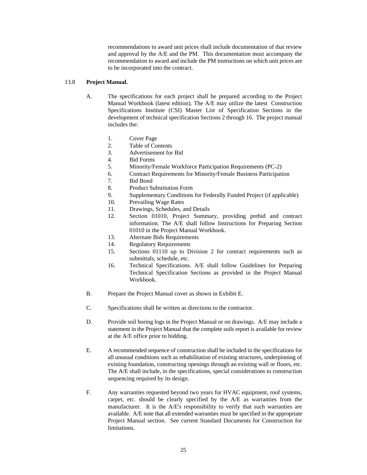recommendations to award unit prices shall include documentation of that review and approval by the A/E and the PM. This documentation must accompany the recommendation to award and include the PM instructions on which unit prices are to be incorporated into the contract.

#### 13.8 **Project Manual.**

- A. The specifications for each project shall be prepared according to the Project Manual Workbook (latest edition). The A/E may utilize the latest Construction Specifications Institute (CSI) Master List of Specification Sections in the development of technical specification Sections 2 through 16. The project manual includes the:
	- 1. Cover Page
	- 2. Table of Contents
	- 3. Advertisement for Bid
	- 4. Bid Forms
	- 5. Minority/Female Workforce Participation Requirements (PC-2)
	- 6. Contract Requirements for Minority/Female Business Participation
	- 7. Bid Bond
	- 8. Product Substitution Form
	- 9. Supplementary Conditions for Federally Funded Project (if applicable)
	- 10. Prevailing Wage Rates
	- 11. Drawings, Schedules, and Details
	- 12. Section 01010, Project Summary, providing prebid and contract information. The A/E shall follow Instructions for Preparing Section 01010 in the Project Manual Workbook.
	- 13. Alternate Bids Requirements
	- 14. Regulatory Requirements
	- 15. Sections 01110 up to Division 2 for contract requirements such as submittals, schedule, etc.
	- 16. Technical Specifications. A/E shall follow Guidelines for Preparing Technical Specification Sections as provided in the Project Manual Workbook.
- B. Prepare the Project Manual cover as shown in Exhibit E.
- C. Specifications shall be written as directions to the contractor.
- D. Provide soil boring logs in the Project Manual or on drawings. A/E may include a statement in the Project Manual that the complete soils report is available for review at the A/E office prior to bidding.
- E. A recommended sequence of construction shall be included in the specifications for all unusual conditions such as rehabilitation of existing structures, underpinning of existing foundation, constructing openings through an existing wall or floors, etc. The A/E shall include, in the specifications, special considerations to construction sequencing required by its design.
- F. Any warranties requested beyond two years for HVAC equipment, roof systems, carpet, etc. should be clearly specified by the A/E as warranties from the manufacturer. It is the A/E's responsibility to verify that such warranties are available. A/E note that all extended warranties must be specified in the appropriate Project Manual section. See current Standard Documents for Construction for limitations.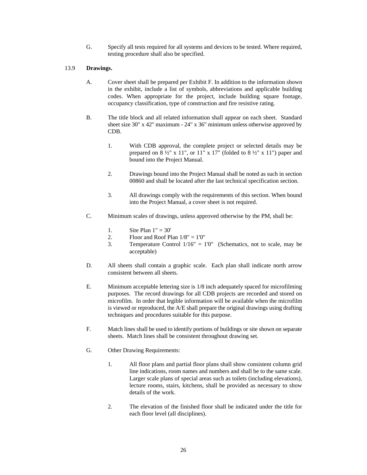G. Specify all tests required for all systems and devices to be tested. Where required, testing procedure shall also be specified.

#### 13.9 **Drawings.**

- A. Cover sheet shall be prepared per Exhibit F. In addition to the information shown in the exhibit, include a list of symbols, abbreviations and applicable building codes. When appropriate for the project, include building square footage, occupancy classification, type of construction and fire resistive rating.
- B. The title block and all related information shall appear on each sheet. Standard sheet size 30" x 42" maximum - 24" x 36" minimum unless otherwise approved by CDB.
	- 1. With CDB approval, the complete project or selected details may be prepared on  $8\frac{1}{2}$ " x 11", or 11" x 17" (folded to  $8\frac{1}{2}$ " x 11") paper and bound into the Project Manual.
	- 2. Drawings bound into the Project Manual shall be noted as such in section 00860 and shall be located after the last technical specification section.
	- 3. All drawings comply with the requirements of this section. When bound into the Project Manual, a cover sheet is not required.
- C. Minimum scales of drawings, unless approved otherwise by the PM, shall be:
	- 1. Site Plan  $1" = 30'$
	- 2. Floor and Roof Plan  $1/8" = 1'0"$
	- 3. Temperature Control 1/16" = 1'0" (Schematics, not to scale, may be acceptable)
- D. All sheets shall contain a graphic scale. Each plan shall indicate north arrow consistent between all sheets.
- E. Minimum acceptable lettering size is 1/8 inch adequately spaced for microfilming purposes. The record drawings for all CDB projects are recorded and stored on microfilm. In order that legible information will be available when the microfilm is viewed or reproduced, the A/E shall prepare the original drawings using drafting techniques and procedures suitable for this purpose.
- F. Match lines shall be used to identify portions of buildings or site shown on separate sheets. Match lines shall be consistent throughout drawing set.
- G. Other Drawing Requirements:
	- 1. All floor plans and partial floor plans shall show consistent column grid line indications, room names and numbers and shall be to the same scale. Larger scale plans of special areas such as toilets (including elevations), lecture rooms, stairs, kitchens, shall be provided as necessary to show details of the work.
	- 2. The elevation of the finished floor shall be indicated under the title for each floor level (all disciplines).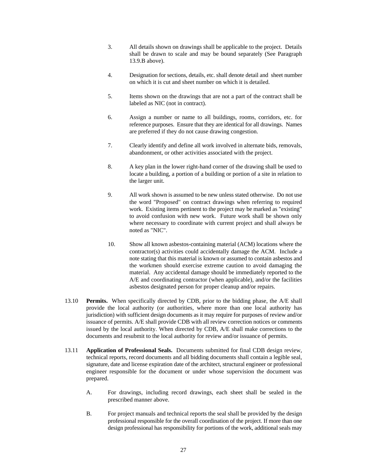- 3. All details shown on drawings shall be applicable to the project. Details shall be drawn to scale and may be bound separately (See Paragraph 13.9.B above).
- 4. Designation for sections, details, etc. shall denote detail and sheet number on which it is cut and sheet number on which it is detailed.
- 5. Items shown on the drawings that are not a part of the contract shall be labeled as NIC (not in contract).
- 6. Assign a number or name to all buildings, rooms, corridors, etc. for reference purposes. Ensure that they are identical for all drawings. Names are preferred if they do not cause drawing congestion.
- 7. Clearly identify and define all work involved in alternate bids, removals, abandonment, or other activities associated with the project.
- 8. A key plan in the lower right-hand corner of the drawing shall be used to locate a building, a portion of a building or portion of a site in relation to the larger unit.
- 9. All work shown is assumed to be new unless stated otherwise. Do not use the word "Proposed" on contract drawings when referring to required work. Existing items pertinent to the project may be marked as "existing" to avoid confusion with new work. Future work shall be shown only where necessary to coordinate with current project and shall always be noted as "NIC".
- 10. Show all known asbestos-containing material (ACM) locations where the contractor(s) activities could accidentally damage the ACM. Include a note stating that this material is known or assumed to contain asbestos and the workmen should exercise extreme caution to avoid damaging the material. Any accidental damage should be immediately reported to the A/E and coordinating contractor (when applicable), and/or the facilities asbestos designated person for proper cleanup and/or repairs.
- 13.10 **Permits.** When specifically directed by CDB, prior to the bidding phase, the A/E shall provide the local authority (or authorities, where more than one local authority has jurisdiction) with sufficient design documents as it may require for purposes of review and/or issuance of permits. A/E shall provide CDB with all review correction notices or comments issued by the local authority. When directed by CDB, A/E shall make corrections to the documents and resubmit to the local authority for review and/or issuance of permits.
- 13.11 **Application of Professional Seals.** Documents submitted for final CDB design review, technical reports, record documents and all bidding documents shall contain a legible seal, signature, date and license expiration date of the architect, structural engineer or professional engineer responsible for the document or under whose supervision the document was prepared.
	- A. For drawings, including record drawings, each sheet shall be sealed in the prescribed manner above.
	- B. For project manuals and technical reports the seal shall be provided by the design professional responsible for the overall coordination of the project. If more than one design professional has responsibility for portions of the work, additional seals may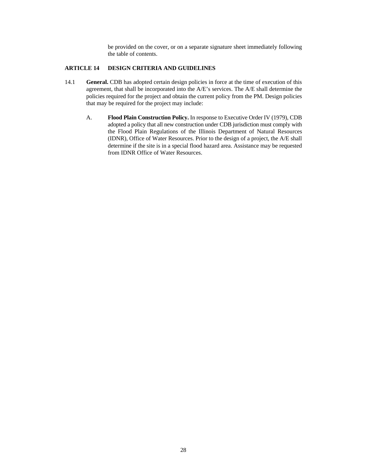be provided on the cover, or on a separate signature sheet immediately following the table of contents.

#### **ARTICLE 14 DESIGN CRITERIA AND GUIDELINES**

- 14.1 **General.** CDB has adopted certain design policies in force at the time of execution of this agreement, that shall be incorporated into the A/E's services. The A/E shall determine the policies required for the project and obtain the current policy from the PM. Design policies that may be required for the project may include:
	- A. **Flood Plain Construction Policy.** In response to Executive Order IV (1979), CDB adopted a policy that all new construction under CDB jurisdiction must comply with the Flood Plain Regulations of the Illinois Department of Natural Resources (IDNR), Office of Water Resources. Prior to the design of a project, the A/E shall determine if the site is in a special flood hazard area. Assistance may be requested from IDNR Office of Water Resources.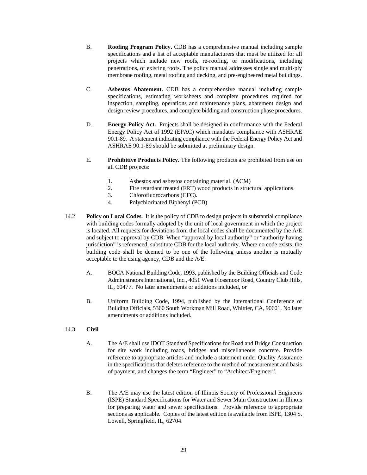- B. **Roofing Program Policy.** CDB has a comprehensive manual including sample specifications and a list of acceptable manufacturers that must be utilized for all projects which include new roofs, re-roofing, or modifications, including penetrations, of existing roofs. The policy manual addresses single and multi-ply membrane roofing, metal roofing and decking, and pre-engineered metal buildings.
- C. **Asbestos Abatement.** CDB has a comprehensive manual including sample specifications, estimating worksheets and complete procedures required for inspection, sampling, operations and maintenance plans, abatement design and design review procedures, and complete bidding and construction phase procedures.
- D. **Energy Policy Act.** Projects shall be designed in conformance with the Federal Energy Policy Act of 1992 (EPAC) which mandates compliance with ASHRAE 90.1-89. A statement indicating compliance with the Federal Energy Policy Act and ASHRAE 90.1-89 should be submitted at preliminary design.
- E. **Prohibitive Products Policy.** The following products are prohibited from use on all CDB projects:
	- 1. Asbestos and asbestos containing material. (ACM)
	- 2. Fire retardant treated (FRT) wood products in structural applications.
	- 3. Chlorofluorocarbons (CFC).
	- 4. Polychlorinated Biphenyl (PCB)
- 14.2 **Policy on Local Codes.** It is the policy of CDB to design projects in substantial compliance with building codes formally adopted by the unit of local government in which the project is located. All requests for deviations from the local codes shall be documented by the A/E and subject to approval by CDB. When "approval by local authority" or "authority having jurisdiction" is referenced, substitute CDB for the local authority. Where no code exists, the building code shall be deemed to be one of the following unless another is mutually acceptable to the using agency, CDB and the A/E.
	- A. BOCA National Building Code, 1993, published by the Building Officials and Code Administrators International, Inc., 4051 West Flossmoor Road, Country Club Hills, IL, 60477. No later amendments or additions included, or
	- B. Uniform Building Code, 1994, published by the International Conference of Building Officials, 5360 South Workman Mill Road, Whittier, CA, 90601. No later amendments or additions included.
- 14.3 **Civil**
	- A. The A/E shall use IDOT Standard Specifications for Road and Bridge Construction for site work including roads, bridges and miscellaneous concrete. Provide reference to appropriate articles and include a statement under Quality Assurance in the specifications that deletes reference to the method of measurement and basis of payment, and changes the term "Engineer" to "Architect/Engineer".
	- B. The A/E may use the latest edition of Illinois Society of Professional Engineers (ISPE) Standard Specifications for Water and Sewer Main Construction in Illinois for preparing water and sewer specifications. Provide reference to appropriate sections as applicable. Copies of the latest edition is available from ISPE, 1304 S. Lowell, Springfield, IL, 62704.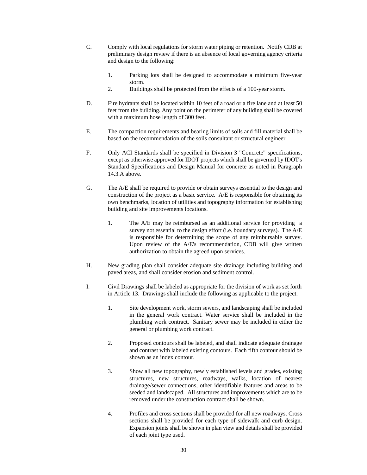- C. Comply with local regulations for storm water piping or retention. Notify CDB at preliminary design review if there is an absence of local governing agency criteria and design to the following:
	- 1. Parking lots shall be designed to accommodate a minimum five-year storm.
	- 2. Buildings shall be protected from the effects of a 100-year storm.
- D. Fire hydrants shall be located within 10 feet of a road or a fire lane and at least 50 feet from the building. Any point on the perimeter of any building shall be covered with a maximum hose length of 300 feet.
- E. The compaction requirements and bearing limits of soils and fill material shall be based on the recommendation of the soils consultant or structural engineer.
- F. Only ACI Standards shall be specified in Division 3 "Concrete" specifications, except as otherwise approved for IDOT projects which shall be governed by IDOT's Standard Specifications and Design Manual for concrete as noted in Paragraph 14.3.A above.
- G. The A/E shall be required to provide or obtain surveys essential to the design and construction of the project as a basic service. A/E is responsible for obtaining its own benchmarks, location of utilities and topography information for establishing building and site improvements locations.
	- 1. The A/E may be reimbursed as an additional service for providing a survey not essential to the design effort (i.e. boundary surveys). The A/E is responsible for determining the scope of any reimbursable survey. Upon review of the A/E's recommendation, CDB will give written authorization to obtain the agreed upon services.
- H. New grading plan shall consider adequate site drainage including building and paved areas, and shall consider erosion and sediment control.
- I. Civil Drawings shall be labeled as appropriate for the division of work as set forth in Article 13. Drawings shall include the following as applicable to the project.
	- 1. Site development work, storm sewers, and landscaping shall be included in the general work contract. Water service shall be included in the plumbing work contract. Sanitary sewer may be included in either the general or plumbing work contract.
	- 2. Proposed contours shall be labeled, and shall indicate adequate drainage and contrast with labeled existing contours. Each fifth contour should be shown as an index contour.
	- 3. Show all new topography, newly established levels and grades, existing structures, new structures, roadways, walks, location of nearest drainage/sewer connections, other identifiable features and areas to be seeded and landscaped. All structures and improvements which are to be removed under the construction contract shall be shown.
	- 4. Profiles and cross sections shall be provided for all new roadways. Cross sections shall be provided for each type of sidewalk and curb design. Expansion joints shall be shown in plan view and details shall be provided of each joint type used.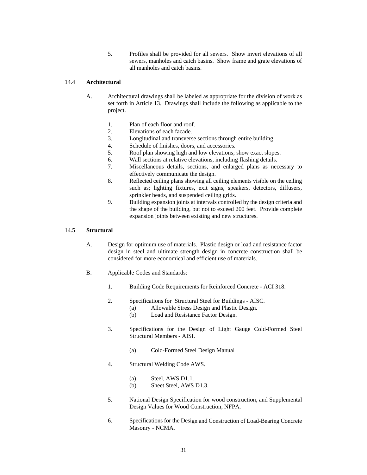5. Profiles shall be provided for all sewers. Show invert elevations of all sewers, manholes and catch basins. Show frame and grate elevations of all manholes and catch basins.

#### 14.4 **Architectural**

- A. Architectural drawings shall be labeled as appropriate for the division of work as set forth in Article 13. Drawings shall include the following as applicable to the project.
	- 1. Plan of each floor and roof.
	- 2. Elevations of each facade.
	- 3. Longitudinal and transverse sections through entire building.
	- 4. Schedule of finishes, doors, and accessories.
	- 5. Roof plan showing high and low elevations; show exact slopes.
	- 6. Wall sections at relative elevations, including flashing details.
	- 7. Miscellaneous details, sections, and enlarged plans as necessary to effectively communicate the design.
	- 8. Reflected ceiling plans showing all ceiling elements visible on the ceiling such as; lighting fixtures, exit signs, speakers, detectors, diffusers, sprinkler heads, and suspended ceiling grids.
	- 9. Building expansion joints at intervals controlled by the design criteria and the shape of the building, but not to exceed 200 feet. Provide complete expansion joints between existing and new structures.

#### 14.5 **Structural**

- A. Design for optimum use of materials. Plastic design or load and resistance factor design in steel and ultimate strength design in concrete construction shall be considered for more economical and efficient use of materials.
- B. Applicable Codes and Standards:
	- 1. Building Code Requirements for Reinforced Concrete ACI 318.
	- 2. Specifications for Structural Steel for Buildings AISC.
		- (a) Allowable Stress Design and Plastic Design.
		- (b) Load and Resistance Factor Design.
	- 3. Specifications for the Design of Light Gauge Cold-Formed Steel Structural Members - AISI.
		- (a) Cold-Formed Steel Design Manual
	- 4. Structural Welding Code AWS.
		- (a) Steel, AWS D1.1.
		- (b) Sheet Steel, AWS D1.3.
	- 5. National Design Specification for wood construction, and Supplemental Design Values for Wood Construction, NFPA.
	- 6. Specifications for the Design and Construction of Load-Bearing Concrete Masonry - NCMA.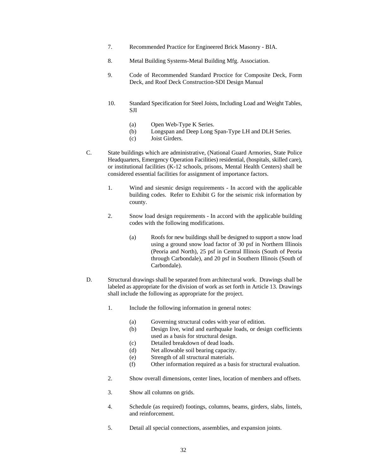- 7. Recommended Practice for Engineered Brick Masonry BIA.
- 8. Metal Building Systems-Metal Building Mfg. Association.
- 9. Code of Recommended Standard Proctice for Composite Deck, Form Deck, and Roof Deck Construction-SDI Design Manual
- 10. Standard Specification for Steel Joists, Including Load and Weight Tables, SJI
	- (a) Open Web-Type K Series.
	- (b) Longspan and Deep Long Span-Type LH and DLH Series.
	- (c) Joist Girders.
- C. State buildings which are administrative, (National Guard Armories, State Police Headquarters, Emergency Operation Facilities) residential, (hospitals, skilled care), or institutional facilities (K-12 schools, prisons, Mental Health Centers) shall be considered essential facilities for assignment of importance factors.
	- 1. Wind and siesmic design requirements In accord with the applicable building codes. Refer to Exhibit G for the seismic risk information by county.
	- 2. Snow load design requirements In accord with the applicable building codes with the following modifications.
		- (a) Roofs for new buildings shall be designed to support a snow load using a ground snow load factor of 30 psf in Northern Illinois (Peoria and North), 25 psf in Central Illinois (South of Peoria through Carbondale), and 20 psf in Southern Illinois (South of Carbondale).
- D. Structural drawings shall be separated from architectural work. Drawings shall be labeled as appropriate for the division of work as set forth in Article 13. Drawings shall include the following as appropriate for the project.
	- 1. Include the following information in general notes:
		- (a) Governing structural codes with year of edition.
		- (b) Design live, wind and earthquake loads, or design coefficients used as a basis for structural design.
		- (c) Detailed breakdown of dead loads.
		- (d) Net allowable soil bearing capacity.
		- (e) Strength of all structural materials.
		- (f) Other information required as a basis for structural evaluation.
	- 2. Show overall dimensions, center lines, location of members and offsets.
	- 3. Show all columns on grids.
	- 4. Schedule (as required) footings, columns, beams, girders, slabs, lintels, and reinforcement.
	- 5. Detail all special connections, assemblies, and expansion joints.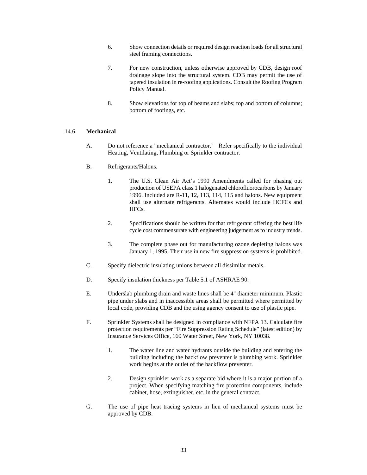- 6. Show connection details or required design reaction loads for all structural steel framing connections.
- 7. For new construction, unless otherwise approved by CDB, design roof drainage slope into the structural system. CDB may permit the use of tapered insulation in re-roofing applications. Consult the Roofing Program Policy Manual.
- 8. Show elevations for top of beams and slabs; top and bottom of columns; bottom of footings, etc.

#### 14.6 **Mechanical**

- A. Do not reference a "mechanical contractor." Refer specifically to the individual Heating, Ventilating, Plumbing or Sprinkler contractor.
- B. Refrigerants/Halons.
	- 1. The U.S. Clean Air Act's 1990 Amendments called for phasing out production of USEPA class 1 halogenated chlorofluorocarbons by January 1996. Included are R-11, 12, 113, 114, 115 and halons. New equipment shall use alternate refrigerants. Alternates would include HCFCs and HFCs.
	- 2. Specifications should be written for that refrigerant offering the best life cycle cost commensurate with engineering judgement as to industry trends.
	- 3. The complete phase out for manufacturing ozone depleting halons was January 1, 1995. Their use in new fire suppression systems is prohibited.
- C. Specify dielectric insulating unions between all dissimilar metals.
- D. Specify insulation thickness per Table 5.1 of ASHRAE 90.
- E. Underslab plumbing drain and waste lines shall be 4" diameter minimum. Plastic pipe under slabs and in inaccessible areas shall be permitted where permitted by local code, providing CDB and the using agency consent to use of plastic pipe.
- F. Sprinkler Systems shall be designed in compliance with NFPA 13. Calculate fire protection requirements per "Fire Suppression Rating Schedule" (latest edition) by Insurance Services Office, 160 Water Street, New York, NY 10038.
	- 1. The water line and water hydrants outside the building and entering the building including the backflow preventer is plumbing work. Sprinkler work begins at the outlet of the backflow preventer.
	- 2. Design sprinkler work as a separate bid where it is a major portion of a project. When specifying matching fire protection components, include cabinet, hose, extinguisher, etc. in the general contract.
- G. The use of pipe heat tracing systems in lieu of mechanical systems must be approved by CDB.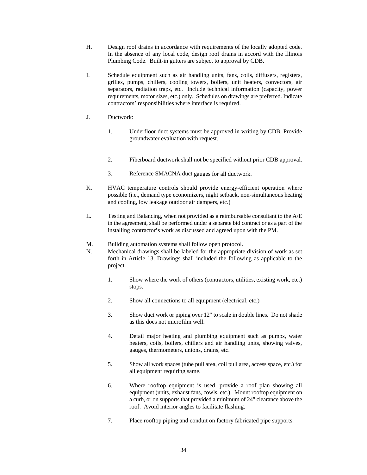- H. Design roof drains in accordance with requirements of the locally adopted code. In the absence of any local code, design roof drains in accord with the Illinois Plumbing Code. Built-in gutters are subject to approval by CDB.
- I. Schedule equipment such as air handling units, fans, coils, diffusers, registers, grilles, pumps, chillers, cooling towers, boilers, unit heaters, convectors, air separators, radiation traps, etc. Include technical information (capacity, power requirements, motor sizes, etc.) only. Schedules on drawings are preferred. Indicate contractors' responsibilities where interface is required.
- J. Ductwork:
	- 1. Underfloor duct systems must be approved in writing by CDB. Provide groundwater evaluation with request.
	- 2. Fiberboard ductwork shall not be specified without prior CDB approval.
	- 3. Reference SMACNA duct gauges for all ductwork.
- K. HVAC temperature controls should provide energy-efficient operation where possible (i.e., demand type economizers, night setback, non-simultaneous heating and cooling, low leakage outdoor air dampers, etc.)
- L. Testing and Balancing, when not provided as a reimbursable consultant to the A/E in the agreement, shall be performed under a separate bid contract or as a part of the installing contractor's work as discussed and agreed upon with the PM.
- M. Building automation systems shall follow open protocol.
- N. Mechanical drawings shall be labeled for the appropriate division of work as set forth in Article 13. Drawings shall included the following as applicable to the project.
	- 1. Show where the work of others (contractors, utilities, existing work, etc.) stops.
	- 2. Show all connections to all equipment (electrical, etc.)
	- 3. Show duct work or piping over 12" to scale in double lines. Do not shade as this does not microfilm well.
	- 4. Detail major heating and plumbing equipment such as pumps, water heaters, coils, boilers, chillers and air handling units, showing valves, gauges, thermometers, unions, drains, etc.
	- 5. Show all work spaces (tube pull area, coil pull area, access space, etc.) for all equipment requiring same.
	- 6. Where rooftop equipment is used, provide a roof plan showing all equipment (units, exhaust fans, cowls, etc.). Mount rooftop equipment on a curb, or on supports that provided a minimum of 24" clearance above the roof. Avoid interior angles to facilitate flashing.
	- 7. Place rooftop piping and conduit on factory fabricated pipe supports.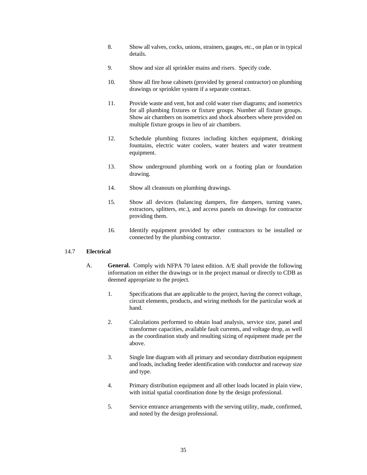- 8. Show all valves, cocks, unions, strainers, gauges, etc., on plan or in typical details.
- 9. Show and size all sprinkler mains and risers. Specify code.
- 10. Show all fire hose cabinets (provided by general contractor) on plumbing drawings or sprinkler system if a separate contract.
- 11. Provide waste and vent, hot and cold water riser diagrams; and isometrics for all plumbing fixtures or fixture groups. Number all fixture groups. Show air chambers on isometrics and shock absorbers where provided on multiple fixture groups in lieu of air chambers.
- 12. Schedule plumbing fixtures including kitchen equipment, drinking fountains, electric water coolers, water heaters and water treatment equipment.
- 13. Show underground plumbing work on a footing plan or foundation drawing.
- 14. Show all cleanouts on plumbing drawings.
- 15. Show all devices (balancing dampers, fire dampers, turning vanes, extractors, splitters, etc.), and access panels on drawings for contractor providing them.
- 16. Identify equipment provided by other contractors to be installed or connected by the plumbing contractor.

#### 14.7 **Electrical**

- A. **General.** Comply with NFPA 70 latest edition. A/E shall provide the following information on either the drawings or in the project manual or directly to CDB as deemed appropriate to the project.
	- 1. Specifications that are applicable to the project, having the correct voltage, circuit elements, products, and wiring methods for the particular work at hand.
	- 2. Calculations performed to obtain load analysis, service size, panel and transformer capacities, available fault currents, and voltage drop, as well as the coordination study and resulting sizing of equipment made per the above.
	- 3. Single line diagram with all primary and secondary distribution equipment and loads, including feeder identification with conductor and raceway size and type.
	- 4. Primary distribution equipment and all other loads located in plain view, with initial spatial coordination done by the design professional.
	- 5. Service entrance arrangements with the serving utility, made, confirmed, and noted by the design professional.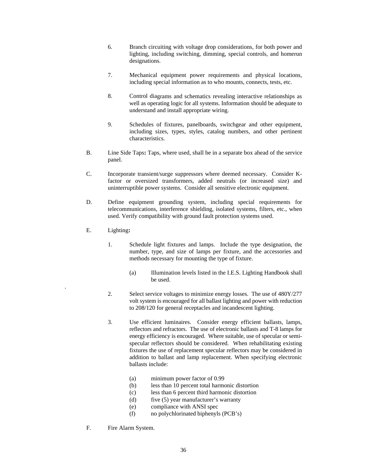- 6. Branch circuiting with voltage drop considerations, for both power and lighting, including switching, dimming, special controls, and homerun designations.
- 7. Mechanical equipment power requirements and physical locations, including special information as to who mounts, connects, tests, etc.
- 8. Control diagrams and schematics revealing interactive relationships as well as operating logic for all systems. Information should be adequate to understand and install appropriate wiring.
- 9. Schedules of fixtures, panelboards, switchgear and other equipment, including sizes, types, styles, catalog numbers, and other pertinent characteristics.
- B. Line Side Taps**:** Taps, where used, shall be in a separate box ahead of the service panel.
- C. Incorporate transient/surge suppressors where deemed necessary. Consider Kfactor or oversized transformers, added neutrals (or increased size) and uninterruptible power systems. Consider all sensitive electronic equipment.
- D. Define equipment grounding system, including special requirements for telecommunications, interference shielding, isolated systems, filters, etc., when used. Verify compatibility with ground fault protection systems used.
- E. Lighting**:**

.

- 1. Schedule light fixtures and lamps. Include the type designation, the number, type, and size of lamps per fixture, and the accessories and methods necessary for mounting the type of fixture.
	- (a) Illumination levels listed in the I.E.S. Lighting Handbook shall be used.
- 2. Select service voltages to minimize energy losses. The use of 480Y/277 volt system is encouraged for all ballast lighting and power with reduction to 208/120 for general receptacles and incandescent lighting.
- 3. Use efficient luminaires. Consider energy efficient ballasts, lamps, reflectors and refractors. The use of electronic ballasts and T-8 lamps for energy efficiency is encouraged. Where suitable, use of specular or semispecular reflectors should be considered. When rehabilitating existing fixtures the use of replacement specular reflectors may be considered in addition to ballast and lamp replacement. When specifying electronic ballasts include:
	- (a) minimum power factor of 0.99
	- (b) less than 10 percent total harmonic distortion
	- (c) less than 6 percent third harmonic distortion
	- (d) five (5) year manufacturer's warranty
	- (e) compliance with ANSI spec
	- (f) no polychlorinated biphenyls (PCB's)
- F. Fire Alarm System.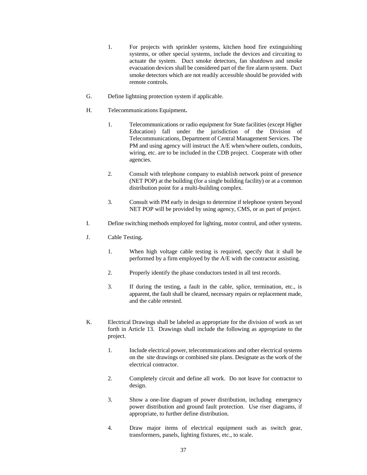- 1. For projects with sprinkler systems, kitchen hood fire extinguishing systems, or other special systems, include the devices and circuiting to actuate the system. Duct smoke detectors, fan shutdown and smoke evacuation devices shall be considered part of the fire alarm system. Duct smoke detectors which are not readily accessible should be provided with remote controls.
- G. Define lightning protection system if applicable.
- H. Telecommunications Equipment**.**
	- 1. Telecommunications or radio equipment for State facilities (except Higher Education) fall under the jurisdiction of the Division of Telecommunications, Department of Central Management Services. The PM and using agency will instruct the A/E when/where outlets, conduits, wiring, etc. are to be included in the CDB project. Cooperate with other agencies.
	- 2. Consult with telephone company to establish network point of presence (NET POP) at the building (for a single building facility) or at a common distribution point for a multi-building complex.
	- 3. Consult with PM early in design to determine if telephone system beyond NET POP will be provided by using agency, CMS, or as part of project.
- I. Define switching methods employed for lighting, motor control, and other systems.
- J. Cable Testing**.**
	- 1. When high voltage cable testing is required, specify that it shall be performed by a firm employed by the A/E with the contractor assisting.
	- 2. Properly identify the phase conductors tested in all test records.
	- 3. If during the testing, a fault in the cable, splice, termination, etc., is apparent, the fault shall be cleared, necessary repairs or replacement made, and the cable retested.
- K. Electrical Drawings shall be labeled as appropriate for the division of work as set forth in Article 13. Drawings shall include the following as appropriate to the project.
	- 1. Include electrical power, telecommunications and other electrical systems on the site drawings or combined site plans. Designate as the work of the electrical contractor.
	- 2. Completely circuit and define all work. Do not leave for contractor to design.
	- 3. Show a one-line diagram of power distribution, including emergency power distribution and ground fault protection. Use riser diagrams, if appropriate, to further define distribution.
	- 4. Draw major items of electrical equipment such as switch gear, transformers, panels, lighting fixtures, etc., to scale.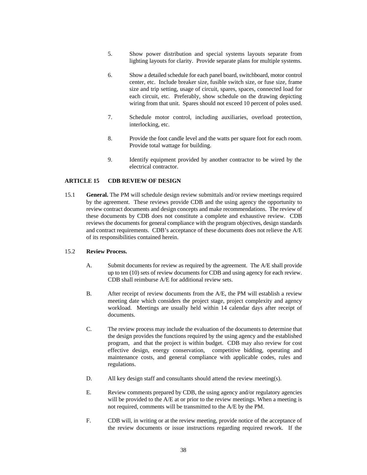- 5. Show power distribution and special systems layouts separate from lighting layouts for clarity. Provide separate plans for multiple systems.
- 6. Show a detailed schedule for each panel board, switchboard, motor control center, etc. Include breaker size, fusible switch size, or fuse size, frame size and trip setting, usage of circuit, spares, spaces, connected load for each circuit, etc. Preferably, show schedule on the drawing depicting wiring from that unit. Spares should not exceed 10 percent of poles used.
- 7. Schedule motor control, including auxiliaries, overload protection, interlocking, etc.
- 8. Provide the foot candle level and the watts per square foot for each room. Provide total wattage for building.
- 9. Identify equipment provided by another contractor to be wired by the electrical contractor.

#### **ARTICLE 15 CDB REVIEW OF DESIGN**

15.1 **General.** The PM will schedule design review submittals and/or review meetings required by the agreement. These reviews provide CDB and the using agency the opportunity to review contract documents and design concepts and make recommendations. The review of these documents by CDB does not constitute a complete and exhaustive review. CDB reviews the documents for general compliance with the program objectives, design standards and contract requirements. CDB's acceptance of these documents does not relieve the A/E of its responsibilities contained herein.

#### 15.2 **Review Process.**

- A. Submit documents for review as required by the agreement. The A/E shall provide up to ten (10) sets of review documents for CDB and using agency for each review. CDB shall reimburse A/E for additional review sets.
- B. After receipt of review documents from the A/E, the PM will establish a review meeting date which considers the project stage, project complexity and agency workload. Meetings are usually held within 14 calendar days after receipt of documents.
- C. The review process may include the evaluation of the documents to determine that the design provides the functions required by the using agency and the established program, and that the project is within budget. CDB may also review for cost effective design, energy conservation, competitive bidding, operating and maintenance costs, and general compliance with applicable codes, rules and regulations.
- D. All key design staff and consultants should attend the review meeting(s).
- E. Review comments prepared by CDB, the using agency and/or regulatory agencies will be provided to the A/E at or prior to the review meetings. When a meeting is not required, comments will be transmitted to the A/E by the PM.
- F. CDB will, in writing or at the review meeting, provide notice of the acceptance of the review documents or issue instructions regarding required rework. If the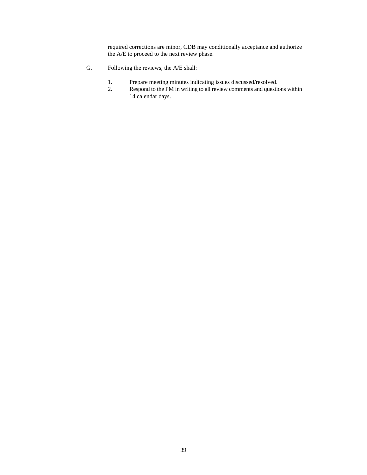required corrections are minor, CDB may conditionally acceptance and authorize the A/E to proceed to the next review phase.

- G. Following the reviews, the A/E shall:
	- 1. Prepare meeting minutes indicating issues discussed/resolved.
	- 2. Respond to the PM in writing to all review comments and questions within 14 calendar days.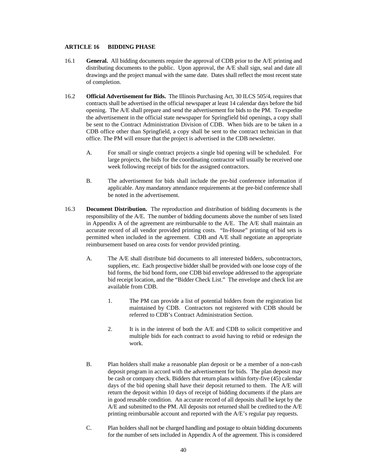#### **ARTICLE 16 BIDDING PHASE**

- 16.1 **General.** All bidding documents require the approval of CDB prior to the A/E printing and distributing documents to the public. Upon approval, the A/E shall sign, seal and date all drawings and the project manual with the same date. Dates shall reflect the most recent state of completion.
- 16.2 **Official Advertisement for Bids.** The Illinois Purchasing Act, 30 ILCS 505/4, requires that contracts shall be advertised in the official newspaper at least 14 calendar days before the bid opening. The A/E shall prepare and send the advertisement for bids to the PM. To expedite the advertisement in the official state newspaper for Springfield bid openings, a copy shall be sent to the Contract Administration Division of CDB. When bids are to be taken in a CDB office other than Springfield, a copy shall be sent to the contract technician in that office. The PM will ensure that the project is advertised in the CDB newsletter.
	- A. For small or single contract projects a single bid opening will be scheduled. For large projects, the bids for the coordinating contractor will usually be received one week following receipt of bids for the assigned contractors.
	- B. The advertisement for bids shall include the pre-bid conference information if applicable. Any mandatory attendance requirements at the pre-bid conference shall be noted in the advertisement.
- 16.3 **Document Distribution.** The reproduction and distribution of bidding documents is the responsibility of the A/E. The number of bidding documents above the number of sets listed in Appendix A of the agreement are reimbursable to the A/E. The A/E shall maintain an accurate record of all vendor provided printing costs. "In-House" printing of bid sets is permitted when included in the agreement. CDB and A/E shall negotiate an appropriate reimbursement based on area costs for vendor provided printing.
	- A. The A/E shall distribute bid documents to all interested bidders, subcontractors, suppliers, etc. Each prospective bidder shall be provided with one loose copy of the bid forms, the bid bond form, one CDB bid envelope addressed to the appropriate bid receipt location, and the "Bidder Check List." The envelope and check list are available from CDB.
		- 1. The PM can provide a list of potential bidders from the registration list maintained by CDB. Contractors not registered with CDB should be referred to CDB's Contract Administration Section.
		- 2. It is in the interest of both the A/E and CDB to solicit competitive and multiple bids for each contract to avoid having to rebid or redesign the work.
	- B. Plan holders shall make a reasonable plan deposit or be a member of a non-cash deposit program in accord with the advertisement for bids. The plan deposit may be cash or company check. Bidders that return plans within forty-five (45) calendar days of the bid opening shall have their deposit returned to them. The A/E will return the deposit within 10 days of receipt of bidding documents if the plans are in good reusable condition. An accurate record of all deposits shall be kept by the A/E and submitted to the PM. All deposits not returned shall be credited to the A/E printing reimbursable account and reported with the A/E's regular pay requests.
	- C. Plan holders shall not be charged handling and postage to obtain bidding documents for the number of sets included in Appendix A of the agreement. This is considered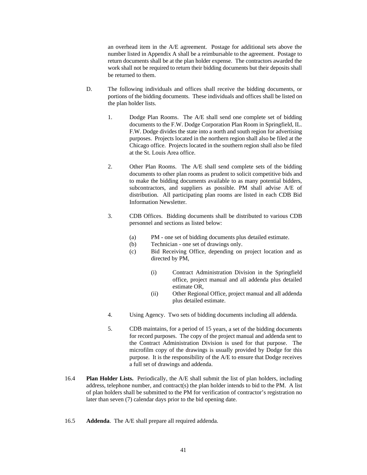an overhead item in the A/E agreement. Postage for additional sets above the number listed in Appendix A shall be a reimbursable to the agreement. Postage to return documents shall be at the plan holder expense. The contractors awarded the work shall not be required to return their bidding documents but their deposits shall be returned to them.

- D. The following individuals and offices shall receive the bidding documents, or portions of the bidding documents. These individuals and offices shall be listed on the plan holder lists.
	- 1. Dodge Plan Rooms. The A/E shall send one complete set of bidding documents to the F.W. Dodge Corporation Plan Room in Springfield, IL. F.W. Dodge divides the state into a north and south region for advertising purposes. Projects located in the northern region shall also be filed at the Chicago office. Projects located in the southern region shall also be filed at the St. Louis Area office.
	- 2. Other Plan Rooms. The A/E shall send complete sets of the bidding documents to other plan rooms as prudent to solicit competitive bids and to make the bidding documents available to as many potential bidders, subcontractors, and suppliers as possible. PM shall advise A/E of distribution. All participating plan rooms are listed in each CDB Bid Information Newsletter.
	- 3. CDB Offices. Bidding documents shall be distributed to various CDB personnel and sections as listed below:
		- (a) PM one set of bidding documents plus detailed estimate.
		- (b) Technician one set of drawings only.
		- (c) Bid Receiving Office, depending on project location and as directed by PM,
			- (i) Contract Administration Division in the Springfield office, project manual and all addenda plus detailed estimate OR,
			- (ii) Other Regional Office, project manual and all addenda plus detailed estimate.
	- 4. Using Agency. Two sets of bidding documents including all addenda.
	- 5. CDB maintains, for a period of 15 years, a set of the bidding documents for record purposes. The copy of the project manual and addenda sent to the Contract Administration Division is used for that purpose. The microfilm copy of the drawings is usually provided by Dodge for this purpose. It is the responsibility of the A/E to ensure that Dodge receives a full set of drawings and addenda.
- 16.4 **Plan Holder Lists.** Periodically, the A/E shall submit the list of plan holders, including address, telephone number, and contract(s) the plan holder intends to bid to the PM. A list of plan holders shall be submitted to the PM for verification of contractor's registration no later than seven (7) calendar days prior to the bid opening date.
- 16.5 **Addenda**. The A/E shall prepare all required addenda.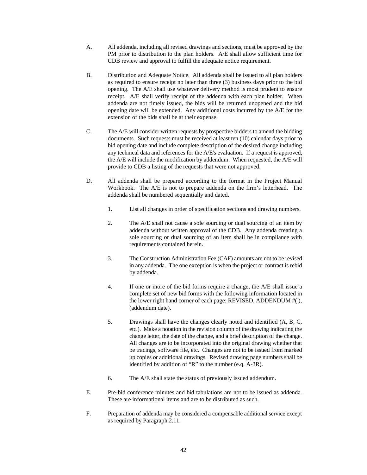- A. All addenda, including all revised drawings and sections, must be approved by the PM prior to distribution to the plan holders. A/E shall allow sufficient time for CDB review and approval to fulfill the adequate notice requirement.
- B. Distribution and Adequate Notice. All addenda shall be issued to all plan holders as required to ensure receipt no later than three (3) business days prior to the bid opening. The A/E shall use whatever delivery method is most prudent to ensure receipt. A/E shall verify receipt of the addenda with each plan holder. When addenda are not timely issued, the bids will be returned unopened and the bid opening date will be extended. Any additional costs incurred by the A/E for the extension of the bids shall be at their expense.
- C. The A/E will consider written requests by prospective bidders to amend the bidding documents. Such requests must be received at least ten (10) calendar days prior to bid opening date and include complete description of the desired change including any technical data and references for the A/E's evaluation. If a request is approved, the A/E will include the modification by addendum. When requested, the A/E will provide to CDB a listing of the requests that were not approved.
- D. All addenda shall be prepared according to the format in the Project Manual Workbook. The A/E is not to prepare addenda on the firm's letterhead. The addenda shall be numbered sequentially and dated.
	- 1. List all changes in order of specification sections and drawing numbers.
	- 2. The A/E shall not cause a sole sourcing or dual sourcing of an item by addenda without written approval of the CDB. Any addenda creating a sole sourcing or dual sourcing of an item shall be in compliance with requirements contained herein.
	- 3. The Construction Administration Fee (CAF) amounts are not to be revised in any addenda. The one exception is when the project or contract is rebid by addenda.
	- 4. If one or more of the bid forms require a change, the A/E shall issue a complete set of new bid forms with the following information located in the lower right hand corner of each page; REVISED, ADDENDUM #( ), (addendum date).
	- 5. Drawings shall have the changes clearly noted and identified (A, B, C, etc.). Make a notation in the revision column of the drawing indicating the change letter, the date of the change, and a brief description of the change. All changes are to be incorporated into the original drawing whether that be tracings, software file, etc. Changes are not to be issued from marked up copies or additional drawings. Revised drawing page numbers shall be identified by addition of "R" to the number (e.q. A-3R).
	- 6. The A/E shall state the status of previously issued addendum.
- E. Pre-bid conference minutes and bid tabulations are not to be issued as addenda. These are informational items and are to be distributed as such.
- F. Preparation of addenda may be considered a compensable additional service except as required by Paragraph 2.11.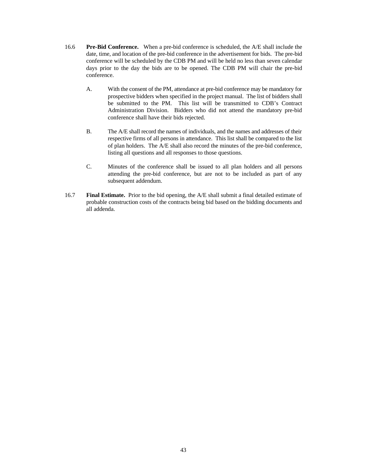- 16.6 **Pre-Bid Conference.** When a pre-bid conference is scheduled, the A/E shall include the date, time, and location of the pre-bid conference in the advertisement for bids. The pre-bid conference will be scheduled by the CDB PM and will be held no less than seven calendar days prior to the day the bids are to be opened. The CDB PM will chair the pre-bid conference.
	- A. With the consent of the PM, attendance at pre-bid conference may be mandatory for prospective bidders when specified in the project manual. The list of bidders shall be submitted to the PM. This list will be transmitted to CDB's Contract Administration Division. Bidders who did not attend the mandatory pre-bid conference shall have their bids rejected.
	- B. The A/E shall record the names of individuals, and the names and addresses of their respective firms of all persons in attendance. This list shall be compared to the list of plan holders. The A/E shall also record the minutes of the pre-bid conference, listing all questions and all responses to those questions.
	- C. Minutes of the conference shall be issued to all plan holders and all persons attending the pre-bid conference, but are not to be included as part of any subsequent addendum.
- 16.7 **Final Estimate.** Prior to the bid opening, the A/E shall submit a final detailed estimate of probable construction costs of the contracts being bid based on the bidding documents and all addenda.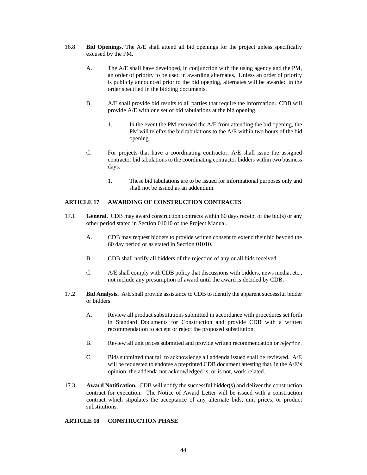- 16.8 **Bid Openings**. The A/E shall attend all bid openings for the project unless specifically excused by the PM.
	- A. The A/E shall have developed, in conjunction with the using agency and the PM, an order of priority to be used in awarding alternates. Unless an order of priority is publicly announced prior to the bid opening, alternates will be awarded in the order specified in the bidding documents.
	- B. A/E shall provide bid results to all parties that require the information. CDB will provide A/E with one set of bid tabulations at the bid opening.
		- 1. In the event the PM excused the A/E from attending the bid opening, the PM will telefax the bid tabulations to the A/E within two hours of the bid opening.
	- C. For projects that have a coordinating contractor, A/E shall issue the assigned contractor bid tabulations to the coordinating contractor bidders within two business days.
		- 1. These bid tabulations are to be issued for informational purposes only and shall not be issued as an addendum.

#### **ARTICLE 17 AWARDING OF CONSTRUCTION CONTRACTS**

- 17.1 **General.** CDB may award construction contracts within 60 days receipt of the bid(s) or any other period stated in Section 01010 of the Project Manual.
	- A. CDB may request bidders to provide written consent to extend their bid beyond the 60 day period or as stated in Section 01010.
	- B. CDB shall notify all bidders of the rejection of any or all bids received.
	- C. A/E shall comply with CDB policy that discussions with bidders, news media, etc., not include any presumption of award until the award is decided by CDB.
- 17.2 **Bid Analysis.** A/E shall provide assistance to CDB to identify the apparent successful bidder or bidders.
	- A. Review all product substitutions submitted in accordance with procedures set forth in Standard Documents for Construction and provide CDB with a written recommendation to accept or reject the proposed substitution.
	- B. Review all unit prices submitted and provide written recommendation or rejection.
	- C. Bids submitted that fail to acknowledge all addenda issued shall be reviewed. A/E will be requested to endorse a preprinted CDB document attesting that, in the A/E's opinion, the addenda not acknowledged is, or is not, work related.
- 17.3 **Award Notification.** CDB will notify the successful bidder(s) and deliver the construction contract for execution. The Notice of Award Letter will be issued with a construction contract which stipulates the acceptance of any alternate bids, unit prices, or product substitutions.

#### **ARTICLE 18 CONSTRUCTION PHASE**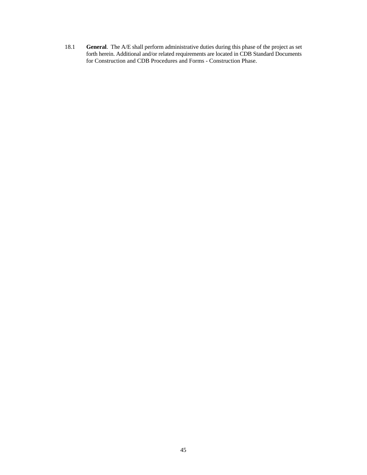18.1 **General**. The A/E shall perform administrative duties during this phase of the project as set forth herein. Additional and/or related requirements are located in CDB Standard Documents for Construction and CDB Procedures and Forms - Construction Phase.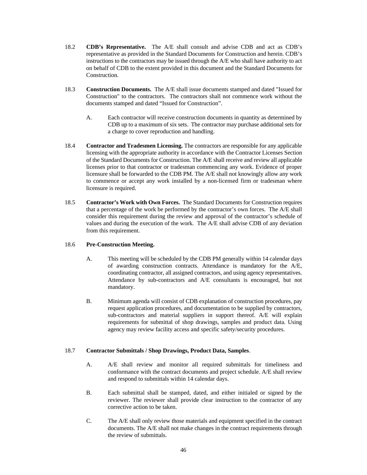- 18.2 **CDB's Representative.** The A/E shall consult and advise CDB and act as CDB's representative as provided in the Standard Documents for Construction and herein. CDB's instructions to the contractors may be issued through the A/E who shall have authority to act on behalf of CDB to the extent provided in this document and the Standard Documents for **Construction**
- 18.3 **Construction Documents.** The A/E shall issue documents stamped and dated "Issued for Construction" to the contractors. The contractors shall not commence work without the documents stamped and dated "Issued for Construction".
	- A. Each contractor will receive construction documents in quantity as determined by CDB up to a maximum of six sets. The contractor may purchase additional sets for a charge to cover reproduction and handling.
- 18.4 **Contractor and Tradesmen Licensing.** The contractors are responsible for any applicable licensing with the appropriate authority in accordance with the Contractor Licenses Section of the Standard Documents for Construction. The A/E shall receive and review all applicable licenses prior to that contractor or tradesman commencing any work. Evidence of proper licensure shall be forwarded to the CDB PM. The A/E shall not knowingly allow any work to commence or accept any work installed by a non-licensed firm or tradesman where licensure is required.
- 18.5 **Contractor's Work with Own Forces.** The Standard Documents for Construction requires that a percentage of the work be performed by the contractor's own forces. The A/E shall consider this requirement during the review and approval of the contractor's schedule of values and during the execution of the work. The A/E shall advise CDB of any deviation from this requirement.

#### 18.6 **Pre-Construction Meeting.**

- A. This meeting will be scheduled by the CDB PM generally within 14 calendar days of awarding construction contracts. Attendance is mandatory for the A/E, coordinating contractor, all assigned contractors, and using agency representatives. Attendance by sub-contractors and A/E consultants is encouraged, but not mandatory.
- B. Minimum agenda will consist of CDB explanation of construction procedures, pay request application procedures, and documentation to be supplied by contractors, sub-contractors and material suppliers in support thereof. A/E will explain requirements for submittal of shop drawings, samples and product data. Using agency may review facility access and specific safety/security procedures.

#### 18.7 **Contractor Submittals / Shop Drawings, Product Data, Samples**.

- A. A/E shall review and monitor all required submittals for timeliness and conformance with the contract documents and project schedule. A/E shall review and respond to submittals within 14 calendar days.
- B. Each submittal shall be stamped, dated, and either initialed or signed by the reviewer. The reviewer shall provide clear instruction to the contractor of any corrective action to be taken.
- C. The A/E shall only review those materials and equipment specified in the contract documents. The A/E shall not make changes in the contract requirements through the review of submittals.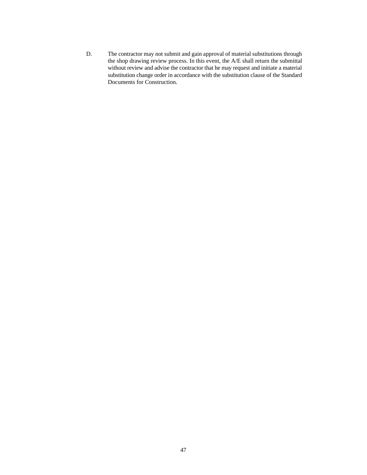D. The contractor may not submit and gain approval of material substitutions through the shop drawing review process. In this event, the A/E shall return the submittal without review and advise the contractor that he may request and initiate a material substitution change order in accordance with the substitution clause of the Standard Documents for Construction.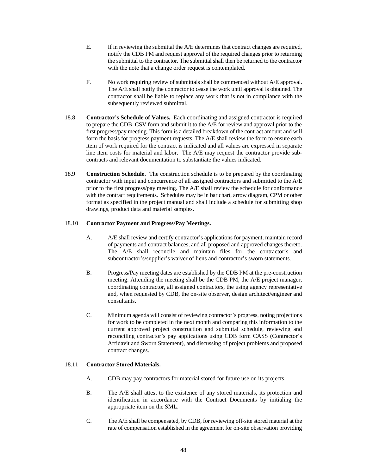- E. If in reviewing the submittal the A/E determines that contract changes are required, notify the CDB PM and request approval of the required changes prior to returning the submittal to the contractor. The submittal shall then be returned to the contractor with the note that a change order request is contemplated.
- F. No work requiring review of submittals shall be commenced without A/E approval. The A/E shall notify the contractor to cease the work until approval is obtained. The contractor shall be liable to replace any work that is not in compliance with the subsequently reviewed submittal.
- 18.8 **Contractor's Schedule of Values.** Each coordinating and assigned contractor is required to prepare the CDB CSV form and submit it to the A/E for review and approval prior to the first progress/pay meeting. This form is a detailed breakdown of the contract amount and will form the basis for progress payment requests. The A/E shall review the form to ensure each item of work required for the contract is indicated and all values are expressed in separate line item costs for material and labor. The A/E may request the contractor provide subcontracts and relevant documentation to substantiate the values indicated.
- 18.9 **Construction Schedule.** The construction schedule is to be prepared by the coordinating contractor with input and concurrence of all assigned contractors and submitted to the A/E prior to the first progress/pay meeting. The A/E shall review the schedule for conformance with the contract requirements. Schedules may be in bar chart, arrow diagram, CPM or other format as specified in the project manual and shall include a schedule for submitting shop drawings, product data and material samples.

#### 18.10 **Contractor Payment and Progress/Pay Meetings.**

- A. A/E shall review and certify contractor's applications for payment, maintain record of payments and contract balances, and all proposed and approved changes thereto. The A/E shall reconcile and maintain files for the contractor's and subcontractor's/supplier's waiver of liens and contractor's sworn statements.
- B. Progress/Pay meeting dates are established by the CDB PM at the pre-construction meeting. Attending the meeting shall be the CDB PM, the A/E project manager, coordinating contractor, all assigned contractors, the using agency representative and, when requested by CDB, the on-site observer, design architect/engineer and consultants.
- C. Minimum agenda will consist of reviewing contractor's progress, noting projections for work to be completed in the next month and comparing this information to the current approved project construction and submittal schedule, reviewing and reconciling contractor's pay applications using CDB form CASS (Contractor's Affidavit and Sworn Statement), and discussing of project problems and proposed contract changes.

#### 18.11 **Contractor Stored Materials.**

- A. CDB may pay contractors for material stored for future use on its projects.
- B. The A/E shall attest to the existence of any stored materials, its protection and identification in accordance with the Contract Documents by initialing the appropriate item on the SML.
- C. The A/E shall be compensated, by CDB, for reviewing off-site stored material at the rate of compensation established in the agreement for on-site observation providing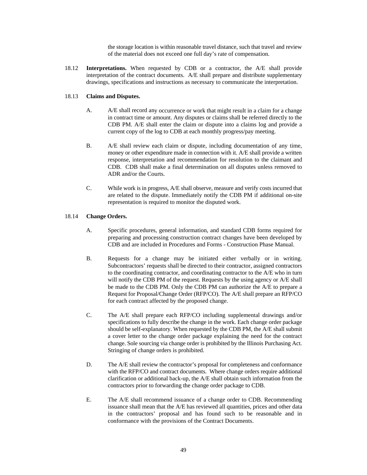the storage location is within reasonable travel distance, such that travel and review of the material does not exceed one full day's rate of compensation.

18.12 **Interpretations.** When requested by CDB or a contractor, the A/E shall provide interpretation of the contract documents. A/E shall prepare and distribute supplementary drawings, specifications and instructions as necessary to communicate the interpretation.

#### 18.13 **Claims and Disputes.**

- A. A/E shall record any occurrence or work that might result in a claim for a change in contract time or amount. Any disputes or claims shall be referred directly to the CDB PM. A/E shall enter the claim or dispute into a claims log and provide a current copy of the log to CDB at each monthly progress/pay meeting.
- B. A/E shall review each claim or dispute, including documentation of any time, money or other expenditure made in connection with it. A/E shall provide a written response, interpretation and recommendation for resolution to the claimant and CDB. CDB shall make a final determination on all disputes unless removed to ADR and/or the Courts.
- C. While work is in progress, A/E shall observe, measure and verify costs incurred that are related to the dispute. Immediately notify the CDB PM if additional on-site representation is required to monitor the disputed work.

#### 18.14 **Change Orders.**

- A. Specific procedures, general information, and standard CDB forms required for preparing and processing construction contract changes have been developed by CDB and are included in Procedures and Forms - Construction Phase Manual.
- B. Requests for a change may be initiated either verbally or in writing. Subcontractors' requests shall be directed to their contractor, assigned contractors to the coordinating contractor, and coordinating contractor to the A/E who in turn will notify the CDB PM of the request. Requests by the using agency or A/E shall be made to the CDB PM. Only the CDB PM can authorize the A/E to prepare a Request for Proposal/Change Order (RFP/CO). The A/E shall prepare an RFP/CO for each contract affected by the proposed change.
- C. The A/E shall prepare each RFP/CO including supplemental drawings and/or specifications to fully describe the change in the work. Each change order package should be self-explanatory. When requested by the CDB PM, the A/E shall submit a cover letter to the change order package explaining the need for the contract change. Sole sourcing via change order is prohibited by the Illinois Purchasing Act. Stringing of change orders is prohibited.
- D. The A/E shall review the contractor's proposal for completeness and conformance with the RFP/CO and contract documents. Where change orders require additional clarification or additional back-up, the A/E shall obtain such information from the contractors prior to forwarding the change order package to CDB.
- E. The A/E shall recommend issuance of a change order to CDB. Recommending issuance shall mean that the A/E has reviewed all quantities, prices and other data in the contractors' proposal and has found such to be reasonable and in conformance with the provisions of the Contract Documents.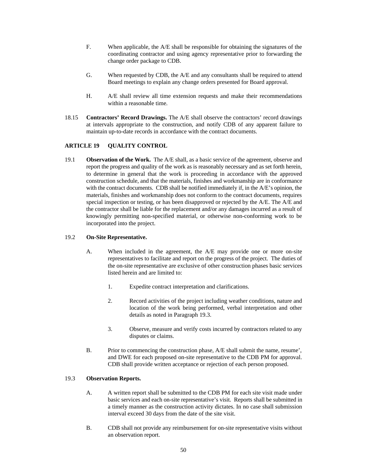- F. When applicable, the A/E shall be responsible for obtaining the signatures of the coordinating contractor and using agency representative prior to forwarding the change order package to CDB.
- G. When requested by CDB, the A/E and any consultants shall be required to attend Board meetings to explain any change orders presented for Board approval.
- H. A/E shall review all time extension requests and make their recommendations within a reasonable time*.*
- 18.15 **Contractors' Record Drawings.** The A/E shall observe the contractors' record drawings at intervals appropriate to the construction, and notify CDB of any apparent failure to maintain up-to-date records in accordance with the contract documents.

#### **ARTICLE 19 QUALITY CONTROL**

19.1 **Observation of the Work.** The A/E shall, as a basic service of the agreement, observe and report the progress and quality of the work as is reasonably necessary and as set forth herein, to determine in general that the work is proceeding in accordance with the approved construction schedule, and that the materials, finishes and workmanship are in conformance with the contract documents. CDB shall be notified immediately if, in the A/E's opinion, the materials, finishes and workmanship does not conform to the contract documents, requires special inspection or testing, or has been disapproved or rejected by the A/E. The A/E and the contractor shall be liable for the replacement and/or any damages incurred as a result of knowingly permitting non-specified material, or otherwise non-conforming work to be incorporated into the project.

#### 19.2 **On-Site Representative.**

- A. When included in the agreement, the A/E may provide one or more on-site representatives to facilitate and report on the progress of the project. The duties of the on-site representative are exclusive of other construction phases basic services listed herein and are limited to:
	- 1. Expedite contract interpretation and clarifications.
	- 2. Record activities of the project including weather conditions, nature and location of the work being performed, verbal interpretation and other details as noted in Paragraph 19.3.
	- 3. Observe, measure and verify costs incurred by contractors related to any disputes or claims.
- B. Prior to commencing the construction phase, A/E shall submit the name, resume', and DWE for each proposed on-site representative to the CDB PM for approval. CDB shall provide written acceptance or rejection of each person proposed.

#### 19.3 **Observation Reports.**

- A. A written report shall be submitted to the CDB PM for each site visit made under basic services and each on-site representative's visit. Reports shall be submitted in a timely manner as the construction activity dictates. In no case shall submission interval exceed 30 days from the date of the site visit.
- B. CDB shall not provide any reimbursement for on-site representative visits without an observation report.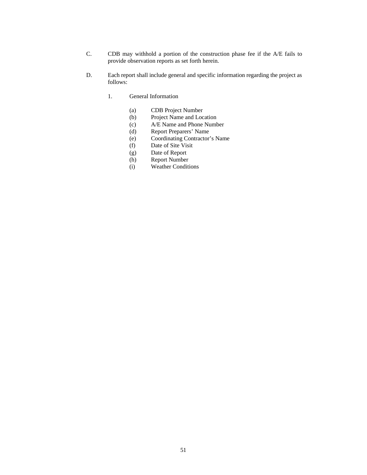- C. CDB may withhold a portion of the construction phase fee if the A/E fails to provide observation reports as set forth herein.
- D. Each report shall include general and specific information regarding the project as follows:
	- 1. General Information
		- (a) CDB Project Number
		- (b) Project Name and Location
		- (c) A/E Name and Phone Number
		- (d) Report Preparers' Name
		- (e) Coordinating Contractor's Name
		- (f) Date of Site Visit
		- (g) Date of Report
		- (h) Report Number
		- (i) Weather Conditions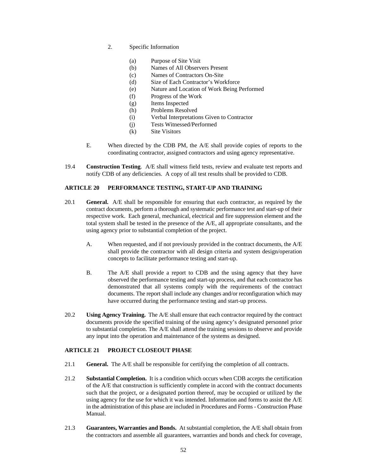- 2. Specific Information
	- (a) Purpose of Site Visit
	- (b) Names of All Observers Present
	- (c) Names of Contractors On-Site
	- (d) Size of Each Contractor's Workforce
	- (e) Nature and Location of Work Being Performed
	- (f) Progress of the Work
	- (g) Items Inspected
	- (h) Problems Resolved
	- (i) Verbal Interpretations Given to Contractor
	- (j) Tests Witnessed/Performed
	- (k) Site Visitors
- E. When directed by the CDB PM, the A/E shall provide copies of reports to the coordinating contractor, assigned contractors and using agency representative.
- 19.4 **Construction Testing**. A/E shall witness field tests, review and evaluate test reports and notify CDB of any deficiencies. A copy of all test results shall be provided to CDB.

#### **ARTICLE 20 PERFORMANCE TESTING, START-UP AND TRAINING**

- 20.1 **General.** A/E shall be responsible for ensuring that each contractor, as required by the contract documents, perform a thorough and systematic performance test and start-up of their respective work. Each general, mechanical, electrical and fire suppression element and the total system shall be tested in the presence of the A/E, all appropriate consultants, and the using agency prior to substantial completion of the project.
	- A. When requested, and if not previously provided in the contract documents, the A/E shall provide the contractor with all design criteria and system design/operation concepts to facilitate performance testing and start-up.
	- B. The A/E shall provide a report to CDB and the using agency that they have observed the performance testing and start-up process, and that each contractor has demonstrated that all systems comply with the requirements of the contract documents. The report shall include any changes and/or reconfiguration which may have occurred during the performance testing and start-up process.
- 20.2 **Using Agency Training.** The A/E shall ensure that each contractor required by the contract documents provide the specified training of the using agency's designated personnel prior to substantial completion. The A/E shall attend the training sessions to observe and provide any input into the operation and maintenance of the systems as designed.

#### **ARTICLE 21 PROJECT CLOSEOUT PHASE**

- 21.1 **General.** The A/E shall be responsible for certifying the completion of all contracts.
- 21.2 **Substantial Completion.** It is a condition which occurs when CDB accepts the certification of the A/E that construction is sufficiently complete in accord with the contract documents such that the project, or a designated portion thereof, may be occupied or utilized by the using agency for the use for which it was intended. Information and forms to assist the A/E in the administration of this phase are included in Procedures and Forms - Construction Phase Manual.
- 21.3 **Guarantees, Warranties and Bonds.** At substantial completion, the A/E shall obtain from the contractors and assemble all guarantees, warranties and bonds and check for coverage,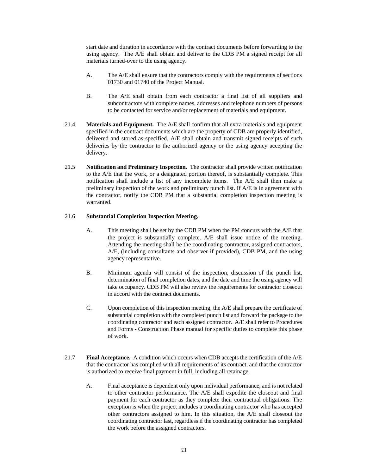start date and duration in accordance with the contract documents before forwarding to the using agency. The A/E shall obtain and deliver to the CDB PM a signed receipt for all materials turned-over to the using agency.

- A. The A/E shall ensure that the contractors comply with the requirements of sections 01730 and 01740 of the Project Manual.
- B. The A/E shall obtain from each contractor a final list of all suppliers and subcontractors with complete names, addresses and telephone numbers of persons to be contacted for service and/or replacement of materials and equipment.
- 21.4 **Materials and Equipment.** The A/E shall confirm that all extra materials and equipment specified in the contract documents which are the property of CDB are properly identified, delivered and stored as specified. A/E shall obtain and transmit signed receipts of such deliveries by the contractor to the authorized agency or the using agency accepting the delivery.
- 21.5 **Notification and Preliminary Inspection.** The contractor shall provide written notification to the A/E that the work, or a designated portion thereof, is substantially complete. This notification shall include a list of any incomplete items. The A/E shall then make a preliminary inspection of the work and preliminary punch list. If A/E is in agreement with the contractor, notify the CDB PM that a substantial completion inspection meeting is warranted.

#### 21.6 **Substantial Completion Inspection Meeting.**

- A. This meeting shall be set by the CDB PM when the PM concurs with the A/E that the project is substantially complete. A/E shall issue notice of the meeting. Attending the meeting shall be the coordinating contractor, assigned contractors, A/E, (including consultants and observer if provided), CDB PM, and the using agency representative.
- B. Minimum agenda will consist of the inspection, discussion of the punch list, determination of final completion dates, and the date and time the using agency will take occupancy. CDB PM will also review the requirements for contractor closeout in accord with the contract documents.
- C. Upon completion of this inspection meeting, the A/E shall prepare the certificate of substantial completion with the completed punch list and forward the package to the coordinating contractor and each assigned contractor. A/E shall refer to Procedures and Forms - Construction Phase manual for specific duties to complete this phase of work.
- 21.7 **Final Acceptance.** A condition which occurs when CDB accepts the certification of the A/E that the contractor has complied with all requirements of its contract, and that the contractor is authorized to receive final payment in full, including all retainage.
	- A. Final acceptance is dependent only upon individual performance, and is not related to other contractor performance. The A/E shall expedite the closeout and final payment for each contractor as they complete their contractual obligations. The exception is when the project includes a coordinating contractor who has accepted other contractors assigned to him. In this situation, the A/E shall closeout the coordinating contractor last, regardless if the coordinating contractor has completed the work before the assigned contractors.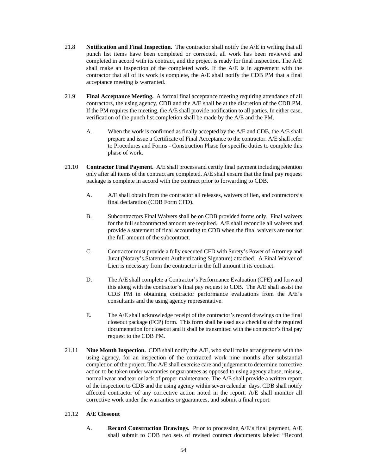- 21.8 **Notification and Final Inspection.** The contractor shall notify the A/E in writing that all punch list items have been completed or corrected, all work has been reviewed and completed in accord with its contract, and the project is ready for final inspection. The A/E shall make an inspection of the completed work. If the A/E is in agreement with the contractor that all of its work is complete, the A/E shall notify the CDB PM that a final acceptance meeting is warranted.
- 21.9 **Final Acceptance Meeting.** A formal final acceptance meeting requiring attendance of all contractors, the using agency, CDB and the A/E shall be at the discretion of the CDB PM. If the PM requires the meeting, the A/E shall provide notification to all parties. In either case, verification of the punch list completion shall be made by the A/E and the PM.
	- A. When the work is confirmed as finally accepted by the A/E and CDB, the A/E shall prepare and issue a Certificate of Final Acceptance to the contractor. A/E shall refer to Procedures and Forms - Construction Phase for specific duties to complete this phase of work.
- 21.10 **Contractor Final Payment.** A/E shall process and certify final payment including retention only after all items of the contract are completed. A/E shall ensure that the final pay request package is complete in accord with the contract prior to forwarding to CDB.
	- A. A/E shall obtain from the contractor all releases, waivers of lien, and contractors's final declaration (CDB Form CFD).
	- B. Subcontractors Final Waivers shall be on CDB provided forms only. Final waivers for the full subcontracted amount are required. A/E shall reconcile all waivers and provide a statement of final accounting to CDB when the final waivers are not for the full amount of the subcontract.
	- C. Contractor must provide a fully executed CFD with Surety's Power of Attorney and Jurat (Notary's Statement Authenticating Signature) attached. A Final Waiver of Lien is necessary from the contractor in the full amount it its contract.
	- D. The A/E shall complete a Contractor's Performance Evaluation (CPE) and forward this along with the contractor's final pay request to CDB. The A/E shall assist the CDB PM in obtaining contractor performance evaluations from the A/E's consultants and the using agency representative.
	- E. The A/E shall acknowledge receipt of the contractor's record drawings on the final closeout package (FCP) form. This form shall be used as a checklist of the required documentation for closeout and it shall be transmitted with the contractor's final pay request to the CDB PM.
- 21.11 **Nine Month Inspection.** CDB shall notify the A/E, who shall make arrangements with the using agency, for an inspection of the contracted work nine months after substantial completion of the project. The A/E shall exercise care and judgement to determine corrective action to be taken under warranties or guarantees as opposed to using agency abuse, misuse, normal wear and tear or lack of proper maintenance. The A/E shall provide a written report of the inspection to CDB and the using agency within seven calendar days. CDB shall notify affected contractor of any corrective action noted in the report. A/E shall monitor all corrective work under the warranties or guarantees, and submit a final report.

#### 21.12 **A/E Closeout**

A. **Record Construction Drawings.** Prior to processing A/E's final payment, A/E shall submit to CDB two sets of revised contract documents labeled "Record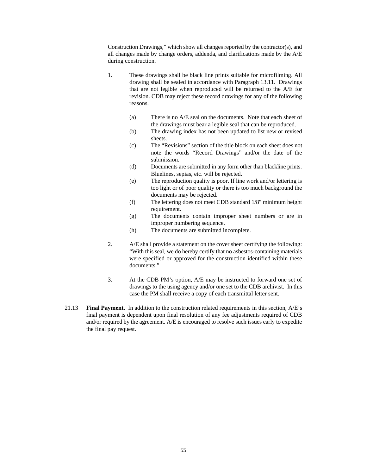Construction Drawings," which show all changes reported by the contractor(s), and all changes made by change orders, addenda, and clarifications made by the A/E during construction.

- 1. These drawings shall be black line prints suitable for microfilming. All drawing shall be sealed in accordance with Paragraph 13.11. Drawings that are not legible when reproduced will be returned to the A/E for revision. CDB may reject these record drawings for any of the following reasons.
	- (a) There is no A/E seal on the documents. Note that each sheet of the drawings must bear a legible seal that can be reproduced.
	- (b) The drawing index has not been updated to list new or revised sheets.
	- (c) The "Revisions" section of the title block on each sheet does not note the words "Record Drawings" and/or the date of the submission.
	- (d) Documents are submitted in any form other than blackline prints. Bluelines, sepias, etc. will be rejected.
	- (e) The reproduction quality is poor. If line work and/or lettering is too light or of poor quality or there is too much background the documents may be rejected.
	- (f) The lettering does not meet CDB standard 1/8" minimum height requirement.
	- (g) The documents contain improper sheet numbers or are in improper numbering sequence.
	- (h) The documents are submitted incomplete.
- 2. A/E shall provide a statement on the cover sheet certifying the following: "With this seal, we do hereby certify that no asbestos-containing materials were specified or approved for the construction identified within these documents."
- 3. At the CDB PM's option, A/E may be instructed to forward one set of drawings to the using agency and/or one set to the CDB archivist. In this case the PM shall receive a copy of each transmittal letter sent.
- 21.13 **Final Payment.** In addition to the construction related requirements in this section, A/E's final payment is dependent upon final resolution of any fee adjustments required of CDB and/or required by the agreement. A/E is encouraged to resolve such issues early to expedite the final pay request.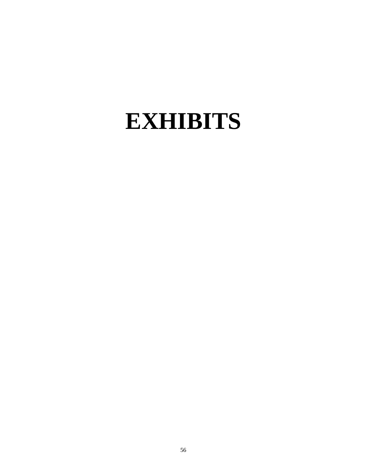# **EXHIBITS**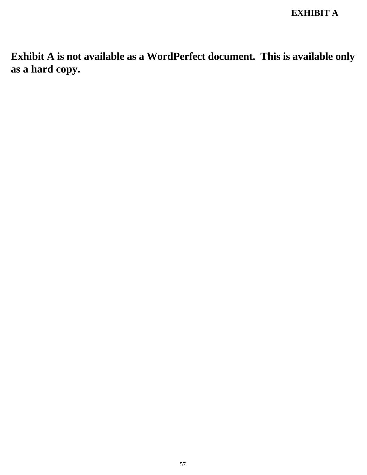**Exhibit A is not available as a WordPerfect document. This is available only as a hard copy.**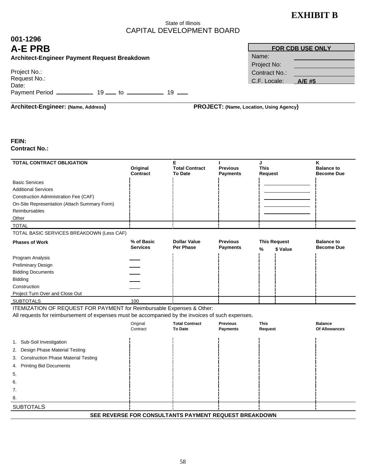# **EXHIBIT B**

**FOR CDB USE ONLY**

### State of Illinois CAPITAL DEVELOPMENT BOARD

## **001-1296 A-E PRB**

| Architect-Engineer Payment Request Breakdown |  |  |  |
|----------------------------------------------|--|--|--|
|----------------------------------------------|--|--|--|

| Project No.:<br>Request No.: |    |    |     |
|------------------------------|----|----|-----|
| Date:                        |    |    |     |
| <b>Payment Period</b>        | 19 | †∩ | 1 Q |

| Project No:   |               |
|---------------|---------------|
| Contract No.: |               |
| C.F. Locale:  | <b>A/E</b> #5 |
|               |               |

## **Architect-Engineer: (Name, Address) PROJECT: (Name, Location, Using Agency)**

Name:

#### **FEIN: Contract No.:**

| TOTAL CONTRACT OBLIGATION                                                                        | Original<br>Contract          | Е<br><b>Total Contract</b><br><b>To Date</b>          | L<br><b>Previous</b><br><b>Payments</b> | J<br><b>This</b><br>Request |          | κ<br><b>Balance to</b><br><b>Become Due</b> |
|--------------------------------------------------------------------------------------------------|-------------------------------|-------------------------------------------------------|-----------------------------------------|-----------------------------|----------|---------------------------------------------|
| <b>Basic Services</b>                                                                            |                               |                                                       |                                         |                             |          |                                             |
| <b>Additional Services</b>                                                                       |                               |                                                       |                                         |                             |          |                                             |
| Construction Administration Fee (CAF)                                                            |                               |                                                       |                                         |                             |          |                                             |
| On-Site Representation (Attach Summary Form)                                                     |                               |                                                       |                                         |                             |          |                                             |
| Reimbursables                                                                                    |                               |                                                       |                                         |                             |          |                                             |
| Other                                                                                            |                               |                                                       |                                         |                             |          |                                             |
| <b>TOTAL</b>                                                                                     |                               |                                                       |                                         |                             |          |                                             |
| TOTAL BASIC SERVICES BREAKDOWN (Less CAF)                                                        |                               |                                                       |                                         |                             |          |                                             |
| <b>Phases of Work</b>                                                                            | % of Basic<br><b>Services</b> | <b>Dollar Value</b><br>Per Phase                      | <b>Previous</b><br><b>Payments</b>      | <b>This Request</b><br>%    | \$ Value | <b>Balance to</b><br><b>Become Due</b>      |
| Program Analysis                                                                                 |                               |                                                       |                                         |                             |          |                                             |
| Preliminary Design                                                                               |                               |                                                       |                                         |                             |          |                                             |
| <b>Bidding Documents</b>                                                                         |                               |                                                       |                                         |                             |          |                                             |
| <b>Bidding</b>                                                                                   |                               |                                                       |                                         |                             |          |                                             |
| Construction                                                                                     |                               |                                                       |                                         |                             |          |                                             |
| Project Turn Over and Close Out                                                                  |                               |                                                       |                                         |                             |          |                                             |
| <b>SUBTOTALS</b>                                                                                 | 100                           |                                                       |                                         |                             |          |                                             |
| ITEMIZATION OF REQUEST FOR PAYMENT for Reimbursable Expenses & Other:                            |                               |                                                       |                                         |                             |          |                                             |
| All requests for reimbursement of expenses must be accompanied by the invoices of such expenses. |                               |                                                       |                                         |                             |          |                                             |
|                                                                                                  | Original<br>Contract          | <b>Total Contract</b><br>To Date                      | <b>Previous</b><br><b>Payments</b>      | <b>This</b><br>Request      |          | <b>Balance</b><br>Of Allowances             |
| 1. Sub-Soil Investigation                                                                        |                               |                                                       |                                         |                             |          |                                             |
| 2. Design Phase Material Testing                                                                 |                               |                                                       |                                         |                             |          |                                             |
| <b>Construction Phase Material Testing</b><br>3.                                                 |                               |                                                       |                                         |                             |          |                                             |
| <b>Printing Bid Documents</b><br>4.                                                              |                               |                                                       |                                         |                             |          |                                             |
| 5.                                                                                               |                               |                                                       |                                         |                             |          |                                             |
| 6.                                                                                               |                               |                                                       |                                         |                             |          |                                             |
| 7.                                                                                               |                               |                                                       |                                         |                             |          |                                             |
| 8.                                                                                               |                               |                                                       |                                         |                             |          |                                             |
| <b>SUBTOTALS</b>                                                                                 |                               |                                                       |                                         |                             |          |                                             |
|                                                                                                  |                               | SEE REVERSE FOR CONSULTANTS PAYMENT REQUEST BREAKDOWN |                                         |                             |          |                                             |
|                                                                                                  |                               |                                                       |                                         |                             |          |                                             |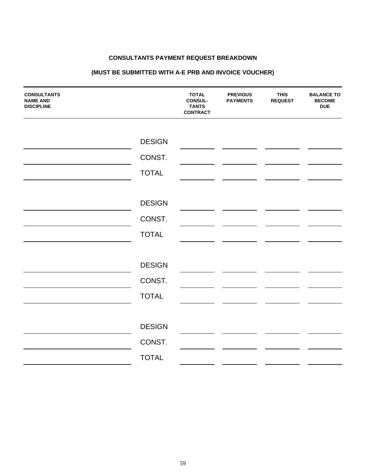#### **CONSULTANTS PAYMENT REQUEST BREAKDOWN**

## **(MUST BE SUBMITTED WITH A-E PRB AND INVOICE VOUCHER)**

| <b>CONSULTANTS</b><br><b>NAME AND</b><br><b>DISCIPLINE</b> |               | <b>TOTAL</b><br><b>CONSUL-</b><br><b>TANTS</b><br><b>CONTRACT</b> | <b>PREVIOUS</b><br><b>PAYMENTS</b> | <b>THIS</b><br><b>REQUEST</b> | <b>BALANCE TO</b><br><b>BECOME</b><br><b>DUE</b> |
|------------------------------------------------------------|---------------|-------------------------------------------------------------------|------------------------------------|-------------------------------|--------------------------------------------------|
|                                                            |               |                                                                   |                                    |                               |                                                  |
|                                                            | <b>DESIGN</b> |                                                                   |                                    |                               |                                                  |
|                                                            | CONST.        |                                                                   |                                    |                               |                                                  |
|                                                            | <b>TOTAL</b>  |                                                                   |                                    |                               |                                                  |
|                                                            |               |                                                                   |                                    |                               |                                                  |
|                                                            | <b>DESIGN</b> |                                                                   |                                    |                               |                                                  |
|                                                            | CONST.        |                                                                   |                                    |                               |                                                  |
|                                                            | <b>TOTAL</b>  |                                                                   |                                    |                               |                                                  |
|                                                            |               |                                                                   |                                    |                               |                                                  |
|                                                            | <b>DESIGN</b> |                                                                   |                                    |                               |                                                  |
|                                                            | CONST.        |                                                                   |                                    |                               |                                                  |
|                                                            | <b>TOTAL</b>  |                                                                   |                                    |                               |                                                  |
|                                                            |               |                                                                   |                                    |                               |                                                  |
|                                                            | <b>DESIGN</b> |                                                                   |                                    |                               |                                                  |
|                                                            | CONST.        |                                                                   |                                    |                               |                                                  |
|                                                            | <b>TOTAL</b>  |                                                                   |                                    |                               |                                                  |
|                                                            |               |                                                                   |                                    |                               |                                                  |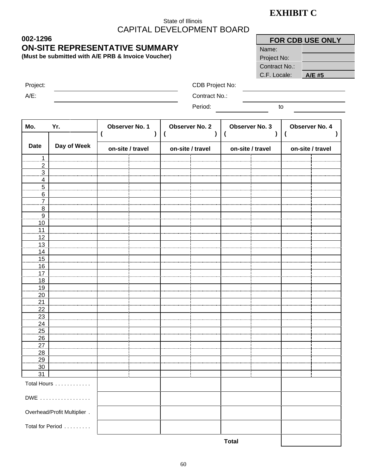# **EXHIBIT C**

## State of Illinois CAPITAL DEVELOPMENT BOARD

|               | <b>FOR CDB USE ONLY</b> |
|---------------|-------------------------|
| Name:         |                         |
| Project No:   |                         |
| Contract No.: |                         |
| C.F. Locale:  | A/E #5                  |

**002-1296 ON-SITE REPRESENTATIVE SUMMARY**

**(Must be submitted with A/E PRB & Invoice Voucher)**

A/E: Contract No.:

Project: CDB Project No:

Period: to

| Mo.                   | Yr.                         | Observer No. 1   |  | <b>Observer No. 2</b> |  | Observer No. 3<br>$\overline{\mathcal{L}}$ | Observer No. 4<br>( |  |  |
|-----------------------|-----------------------------|------------------|--|-----------------------|--|--------------------------------------------|---------------------|--|--|
| <b>Date</b>           | Day of Week                 | on-site / travel |  | on-site / travel      |  | on-site / travel                           | on-site / travel    |  |  |
| 1                     |                             |                  |  |                       |  |                                            |                     |  |  |
| $\overline{2}$        |                             |                  |  |                       |  |                                            |                     |  |  |
| $\overline{3}$        |                             |                  |  |                       |  |                                            |                     |  |  |
| $\overline{4}$        |                             |                  |  |                       |  |                                            |                     |  |  |
| $\overline{5}$        |                             |                  |  |                       |  |                                            |                     |  |  |
| 6<br>$\overline{7}$   |                             |                  |  |                       |  |                                            |                     |  |  |
| $\overline{8}$        |                             |                  |  |                       |  |                                            |                     |  |  |
| $\overline{9}$        |                             |                  |  |                       |  |                                            |                     |  |  |
| 10                    |                             |                  |  |                       |  |                                            |                     |  |  |
| 11.                   |                             |                  |  |                       |  |                                            |                     |  |  |
| <u>12</u>             |                             |                  |  |                       |  |                                            |                     |  |  |
| $\overline{13}$       |                             |                  |  |                       |  |                                            |                     |  |  |
| <u>14</u>             |                             |                  |  |                       |  |                                            |                     |  |  |
| $\overline{15}$       |                             |                  |  |                       |  |                                            |                     |  |  |
| 16                    |                             |                  |  |                       |  |                                            |                     |  |  |
| 17.                   |                             |                  |  |                       |  |                                            |                     |  |  |
| <u>18</u>             |                             |                  |  |                       |  |                                            |                     |  |  |
| 19<br>20              |                             |                  |  |                       |  |                                            |                     |  |  |
| 21                    |                             |                  |  |                       |  |                                            |                     |  |  |
| 22                    |                             |                  |  |                       |  |                                            |                     |  |  |
| $\frac{23}{2}$        |                             |                  |  |                       |  |                                            |                     |  |  |
|                       |                             |                  |  |                       |  |                                            |                     |  |  |
| $\frac{24}{25}$       |                             |                  |  |                       |  |                                            |                     |  |  |
| $\overline{26}$       |                             |                  |  |                       |  |                                            |                     |  |  |
| $\overline{27}$<br>28 |                             |                  |  |                       |  |                                            |                     |  |  |
| .29<br>30             |                             |                  |  |                       |  |                                            |                     |  |  |
| 31                    |                             |                  |  |                       |  |                                            |                     |  |  |
|                       | Total Hours                 |                  |  |                       |  |                                            |                     |  |  |
|                       |                             |                  |  |                       |  |                                            |                     |  |  |
|                       | DWE                         |                  |  |                       |  |                                            |                     |  |  |
|                       | Overhead/Profit Multiplier. |                  |  |                       |  |                                            |                     |  |  |
|                       | Total for Period            |                  |  |                       |  |                                            |                     |  |  |
|                       |                             |                  |  |                       |  | <b>Total</b>                               |                     |  |  |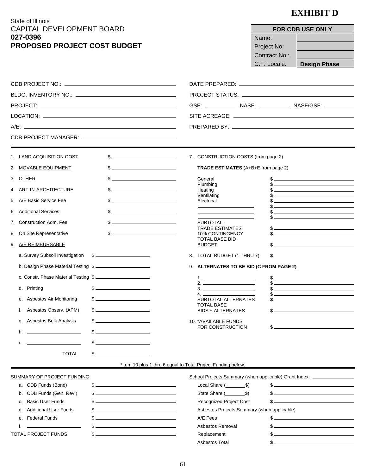State of Illinois  $U$ EI OPMENT BOARD

# **EXHIBIT D**

 $\overline{\phantom{0}}$ 

٦

| CAPITAL DEVELOPMENT BOARD            |                                                                                                                                                                                                                                                                                                                     |                                                                                                                                                                                                                                                                                                                        | FOR CDB USE ONLY                                                                                                                                                                                                                  |  |  |
|--------------------------------------|---------------------------------------------------------------------------------------------------------------------------------------------------------------------------------------------------------------------------------------------------------------------------------------------------------------------|------------------------------------------------------------------------------------------------------------------------------------------------------------------------------------------------------------------------------------------------------------------------------------------------------------------------|-----------------------------------------------------------------------------------------------------------------------------------------------------------------------------------------------------------------------------------|--|--|
| 027-0396                             |                                                                                                                                                                                                                                                                                                                     | Name:                                                                                                                                                                                                                                                                                                                  |                                                                                                                                                                                                                                   |  |  |
| <b>PROPOSED PROJECT COST BUDGET</b>  |                                                                                                                                                                                                                                                                                                                     | Project No:                                                                                                                                                                                                                                                                                                            |                                                                                                                                                                                                                                   |  |  |
|                                      |                                                                                                                                                                                                                                                                                                                     | <b>Contract No.:</b>                                                                                                                                                                                                                                                                                                   |                                                                                                                                                                                                                                   |  |  |
|                                      |                                                                                                                                                                                                                                                                                                                     | C.F. Locale:                                                                                                                                                                                                                                                                                                           | <b>Design Phase</b>                                                                                                                                                                                                               |  |  |
|                                      |                                                                                                                                                                                                                                                                                                                     |                                                                                                                                                                                                                                                                                                                        |                                                                                                                                                                                                                                   |  |  |
|                                      |                                                                                                                                                                                                                                                                                                                     |                                                                                                                                                                                                                                                                                                                        |                                                                                                                                                                                                                                   |  |  |
|                                      |                                                                                                                                                                                                                                                                                                                     |                                                                                                                                                                                                                                                                                                                        |                                                                                                                                                                                                                                   |  |  |
|                                      |                                                                                                                                                                                                                                                                                                                     |                                                                                                                                                                                                                                                                                                                        |                                                                                                                                                                                                                                   |  |  |
|                                      |                                                                                                                                                                                                                                                                                                                     |                                                                                                                                                                                                                                                                                                                        |                                                                                                                                                                                                                                   |  |  |
|                                      |                                                                                                                                                                                                                                                                                                                     |                                                                                                                                                                                                                                                                                                                        |                                                                                                                                                                                                                                   |  |  |
|                                      |                                                                                                                                                                                                                                                                                                                     |                                                                                                                                                                                                                                                                                                                        |                                                                                                                                                                                                                                   |  |  |
| 1. LAND ACQUISITION COST             | $\sim$                                                                                                                                                                                                                                                                                                              | 7. CONSTRUCTION COSTS (from page 2)                                                                                                                                                                                                                                                                                    |                                                                                                                                                                                                                                   |  |  |
| 2. MOVABLE EQUIPMENT                 | $\sim$                                                                                                                                                                                                                                                                                                              | TRADE ESTIMATES (A+B+E from page 2)                                                                                                                                                                                                                                                                                    |                                                                                                                                                                                                                                   |  |  |
| 3. OTHER                             | $\sim$                                                                                                                                                                                                                                                                                                              | General                                                                                                                                                                                                                                                                                                                |                                                                                                                                                                                                                                   |  |  |
| 4. ART-IN-ARCHITECTURE               | $\frac{1}{2}$                                                                                                                                                                                                                                                                                                       | Plumbing<br>Heating                                                                                                                                                                                                                                                                                                    | $\sim$                                                                                                                                                                                                                            |  |  |
| 5. A/E Basic Service Fee             | $\sim$                                                                                                                                                                                                                                                                                                              | Ventilating<br>Electrical                                                                                                                                                                                                                                                                                              | $\frac{1}{2}$ . The contract of the contract of the contract of the contract of the contract of the contract of the contract of the contract of the contract of the contract of the contract of the contract of the contract of t |  |  |
| 6. Additional Services               | $\frac{1}{2}$                                                                                                                                                                                                                                                                                                       |                                                                                                                                                                                                                                                                                                                        |                                                                                                                                                                                                                                   |  |  |
| 7. Construction Adm. Fee             | $\frac{1}{2}$ $\frac{1}{2}$ $\frac{1}{2}$ $\frac{1}{2}$ $\frac{1}{2}$ $\frac{1}{2}$ $\frac{1}{2}$ $\frac{1}{2}$ $\frac{1}{2}$ $\frac{1}{2}$ $\frac{1}{2}$ $\frac{1}{2}$ $\frac{1}{2}$ $\frac{1}{2}$ $\frac{1}{2}$ $\frac{1}{2}$ $\frac{1}{2}$ $\frac{1}{2}$ $\frac{1}{2}$ $\frac{1}{2}$ $\frac{1}{2}$ $\frac{1}{2}$ | SUBTOTAL -                                                                                                                                                                                                                                                                                                             |                                                                                                                                                                                                                                   |  |  |
| 8. On Site Representative            | $\sim$                                                                                                                                                                                                                                                                                                              | TRADE ESTIMATES<br>10% CONTINGENCY                                                                                                                                                                                                                                                                                     | $\frac{1}{2}$<br>$\sim$                                                                                                                                                                                                           |  |  |
|                                      |                                                                                                                                                                                                                                                                                                                     | <b>TOTAL BASE BID</b>                                                                                                                                                                                                                                                                                                  | $\sim$                                                                                                                                                                                                                            |  |  |
| 9. A/E REIMBURSABLE                  |                                                                                                                                                                                                                                                                                                                     | <b>BUDGET</b>                                                                                                                                                                                                                                                                                                          |                                                                                                                                                                                                                                   |  |  |
| a. Survey Subsoil Investigation \$   |                                                                                                                                                                                                                                                                                                                     | 8. TOTAL BUDGET (1 THRU 7)                                                                                                                                                                                                                                                                                             | s                                                                                                                                                                                                                                 |  |  |
| b. Design Phase Material Testing \$  |                                                                                                                                                                                                                                                                                                                     | 9. ALTERNATES TO BE BID (C FROM PAGE 2)                                                                                                                                                                                                                                                                                |                                                                                                                                                                                                                                   |  |  |
| c. Constr. Phase Material Testing \$ |                                                                                                                                                                                                                                                                                                                     | $2.$ $\frac{1}{2}$ $\frac{1}{2}$ $\frac{1}{2}$ $\frac{1}{2}$ $\frac{1}{2}$ $\frac{1}{2}$ $\frac{1}{2}$ $\frac{1}{2}$ $\frac{1}{2}$ $\frac{1}{2}$ $\frac{1}{2}$ $\frac{1}{2}$ $\frac{1}{2}$ $\frac{1}{2}$ $\frac{1}{2}$ $\frac{1}{2}$ $\frac{1}{2}$ $\frac{1}{2}$ $\frac{1}{2}$ $\frac{1}{2}$ $\frac{1}{2}$ $\frac{1}{$ | $\sim$                                                                                                                                                                                                                            |  |  |
| d. Printing                          | $\frac{1}{2}$                                                                                                                                                                                                                                                                                                       | $\sim$ $\sim$                                                                                                                                                                                                                                                                                                          | $\frac{1}{2}$                                                                                                                                                                                                                     |  |  |
| e. Asbestos Air Monitoring           | \$<br>and the control of the control of the                                                                                                                                                                                                                                                                         | 4.<br>SUBTOTAL ALTERNATES                                                                                                                                                                                                                                                                                              |                                                                                                                                                                                                                                   |  |  |
| Asbestos Observ. (APM)<br>f.         | <u> 1989 - Johann Barbara, martin d</u><br>\$_                                                                                                                                                                                                                                                                      | <b>TOTAL BASE</b><br><b>BIDS + ALTERNATES</b>                                                                                                                                                                                                                                                                          | $\sim$                                                                                                                                                                                                                            |  |  |
| Asbestos Bulk Analysis<br>g.         | <u> 1989 - Johann Barn, mars and de Branch Barn, mars and de Branch Barn, mars and de Branch Barn, mars and de Br</u><br>\$_                                                                                                                                                                                        | 10. * AVAILABLE FUNDS                                                                                                                                                                                                                                                                                                  |                                                                                                                                                                                                                                   |  |  |
| h.                                   | $$ -$                                                                                                                                                                                                                                                                                                               | FOR CONSTRUCTION                                                                                                                                                                                                                                                                                                       | <u> 1989 - Johann Stein, mars an t-Amerikaansk kommunister (</u>                                                                                                                                                                  |  |  |
| i.                                   | $\mathbb{S}$ $-$                                                                                                                                                                                                                                                                                                    |                                                                                                                                                                                                                                                                                                                        |                                                                                                                                                                                                                                   |  |  |
| <b>TOTAL</b>                         | \$_                                                                                                                                                                                                                                                                                                                 |                                                                                                                                                                                                                                                                                                                        |                                                                                                                                                                                                                                   |  |  |
|                                      |                                                                                                                                                                                                                                                                                                                     | *Item 10 plus 1 thru 6 equal to Total Project Funding below.                                                                                                                                                                                                                                                           |                                                                                                                                                                                                                                   |  |  |
| <b>SUMMARY OF PROJECT FUNDING</b>    |                                                                                                                                                                                                                                                                                                                     | School Projects Summary (when applicable) Grant Index: _________________                                                                                                                                                                                                                                               |                                                                                                                                                                                                                                   |  |  |
| a. CDB Funds (Bond)                  | $\sim$                                                                                                                                                                                                                                                                                                              | Local Share $($ $\frac{\$}{}$                                                                                                                                                                                                                                                                                          | $\sim$                                                                                                                                                                                                                            |  |  |
| CDB Funds (Gen. Rev.)<br>b.          | s                                                                                                                                                                                                                                                                                                                   | State Share (Sample 3)                                                                                                                                                                                                                                                                                                 | $s$ and $s$ and $s$ and $s$ and $s$ and $s$ and $s$ and $s$ and $s$ and $s$ and $s$ and $s$ and $s$ and $s$ and $s$ and $s$ and $s$ and $s$ and $s$ and $s$ and $s$ and $s$ and $s$ and $s$ and $s$ and $s$ and $s$ and $s$ a     |  |  |
| <b>Basic User Funds</b><br>c.        | $s$ $\overline{\phantom{a}}$                                                                                                                                                                                                                                                                                        | <b>Recognized Project Cost</b>                                                                                                                                                                                                                                                                                         | <u> 1989 - Johann Barbara, martxa alemaniar a</u>                                                                                                                                                                                 |  |  |
| <b>Additional User Funds</b><br>d.   | <u> 1989 - Johann Barnett, fransk politiker (d. 1989)</u><br><u> 1989 - Johann Barbara, martin amerikan basar da</u>                                                                                                                                                                                                | Asbestos Projects Summary (when applicable)<br>A/E Fees                                                                                                                                                                                                                                                                | $\frac{1}{2}$                                                                                                                                                                                                                     |  |  |
| <b>Federal Funds</b><br>е.<br>f.     | <u> 1989 - Johann Barbara, martin amerikan basar dan basa dan basar dalam basa dalam basa dalam basa dalam basa </u>                                                                                                                                                                                                | Asbestos Removal                                                                                                                                                                                                                                                                                                       |                                                                                                                                                                                                                                   |  |  |
| TOTAL PROJECT FUNDS                  | \$ _                                                                                                                                                                                                                                                                                                                | Replacement                                                                                                                                                                                                                                                                                                            |                                                                                                                                                                                                                                   |  |  |
|                                      |                                                                                                                                                                                                                                                                                                                     |                                                                                                                                                                                                                                                                                                                        |                                                                                                                                                                                                                                   |  |  |

Asbestos Total  $$$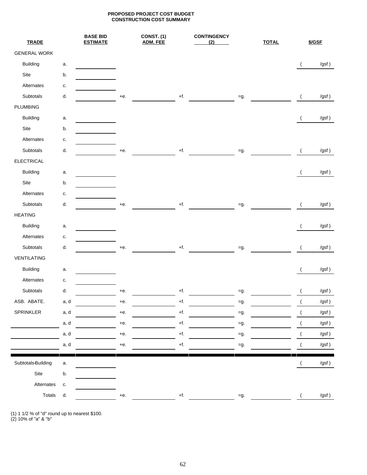#### **PROPOSED PROJECT COST BUDGET CONSTRUCTION COST SUMMARY**

| <b>TRADE</b>        |      | <b>BASE BID</b><br><b>ESTIMATE</b> |       | CONST. (1)<br><b>ADM. FEE</b> |                   | <b>CONTINGENCY</b><br>(2) |        | <b>TOTAL</b> |                | \$/GSF   |
|---------------------|------|------------------------------------|-------|-------------------------------|-------------------|---------------------------|--------|--------------|----------------|----------|
| <b>GENERAL WORK</b> |      |                                    |       |                               |                   |                           |        |              |                |          |
| <b>Building</b>     | a.   |                                    |       |                               |                   |                           |        |              | $\overline{ }$ | /gsf)    |
| Site                | b.   |                                    |       |                               |                   |                           |        |              |                |          |
| Alternates          | c.   |                                    |       |                               |                   |                           |        |              |                |          |
| Subtotals           | d.   |                                    | $+e.$ |                               | $\pm \mathsf{f}.$ |                           | $=g.$  |              | $\left($       | /gsf)    |
| PLUMBING            |      |                                    |       |                               |                   |                           |        |              |                |          |
| <b>Building</b>     | a.   |                                    |       |                               |                   |                           |        |              | $\left($       | /gsf)    |
| Site                | b.   |                                    |       |                               |                   |                           |        |              |                |          |
| Alternates          | c.   |                                    |       |                               |                   |                           |        |              |                |          |
| Subtotals           | d.   |                                    | $+e.$ |                               | $+f.$             |                           | $=g.$  |              | $\overline{ }$ | /gsf)    |
| <b>ELECTRICAL</b>   |      |                                    |       |                               |                   |                           |        |              |                |          |
| <b>Building</b>     | a.   |                                    |       |                               |                   |                           |        |              | $\left($       | /gsf)    |
| Site                | b.   |                                    |       |                               |                   |                           |        |              |                |          |
| Alternates          | c.   |                                    |       |                               |                   |                           |        |              |                |          |
| Subtotals           | d.   |                                    | $+e.$ |                               | $+f.$             |                           | $=g.$  |              | $\overline{ }$ | /gsf)    |
| <b>HEATING</b>      |      |                                    |       |                               |                   |                           |        |              |                |          |
| <b>Building</b>     | a.   |                                    |       |                               |                   |                           |        |              | $\overline{ }$ | /gsf)    |
| Alternates          | c.   |                                    |       |                               |                   |                           |        |              |                |          |
| Subtotals           | d.   |                                    | $+e.$ |                               | $+f.$             |                           | $=g.$  |              | $\overline{ }$ | /gsf)    |
| VENTILATING         |      |                                    |       |                               |                   |                           |        |              |                |          |
| <b>Building</b>     | a.   |                                    |       |                               |                   |                           |        |              | $\left($       | /gsf)    |
| Alternates          | c.   |                                    |       |                               |                   |                           |        |              |                |          |
| Subtotals           | d.   |                                    | $+e.$ |                               | $+f.$             |                           | $=g.$  |              |                | /gsf)    |
| ASB. ABATE.         | a, d |                                    | $+e$  |                               | $+f.$             |                           | $=g.$  |              |                | /gsf $)$ |
| SPRINKLER           | a, d |                                    | $+e.$ |                               | $+ \mathsf{f}.$   |                           | $=g.$  |              |                | /gsf $)$ |
|                     | a, d |                                    | $+e.$ |                               | $\pm \text{f}.$   |                           | $= g.$ |              |                | /gsf $)$ |
|                     | a, d |                                    | $+e.$ |                               | $\pm \text{f}.$   |                           | $= g.$ |              |                | /gsf $)$ |
|                     | a, d |                                    | $+e.$ |                               | $\pm \mathsf{f}.$ |                           | $=g.$  |              |                | /gsf $)$ |
| Subtotals-Building  | а.   |                                    |       |                               |                   |                           |        |              | $\overline{a}$ | /gsf)    |
| Site                | b.   |                                    |       |                               |                   |                           |        |              |                |          |
| Alternates          | c.   |                                    |       |                               |                   |                           |        |              |                |          |
| Totals              | d.   |                                    | $+e.$ |                               | $+f.$             |                           | $=g.$  |              |                | /gsf)    |
|                     |      |                                    |       |                               |                   |                           |        |              |                |          |

(1) 1 1/2 % of "d" round up to nearest \$100.

(2) 10% of "a" & "b"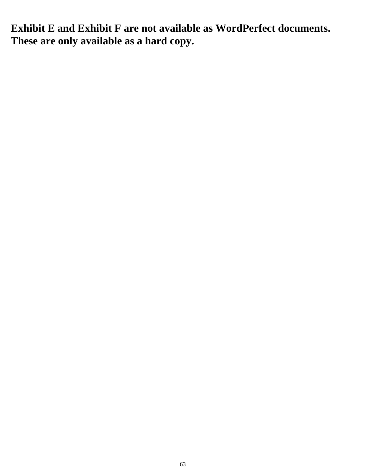**Exhibit E and Exhibit F are not available as WordPerfect documents. These are only available as a hard copy.**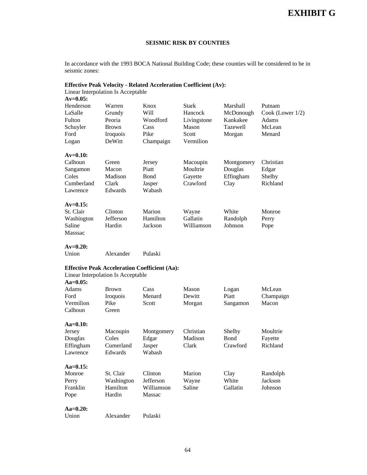# **EXHIBIT G**

#### **SEISMIC RISK BY COUNTIES**

In accordance with the 1993 BOCA National Building Code; these counties will be considered to be in seismic zones:

#### **Effective Peak Velocity - Related Acceleration Coefficient (Av):**

| Linear Interpolation Is Acceptable |            |                                                      |             |            |                     |
|------------------------------------|------------|------------------------------------------------------|-------------|------------|---------------------|
| $Av = 0.05$ :                      |            |                                                      |             |            |                     |
| Henderson                          | Warren     | Knox                                                 | Stark       | Marshall   | Putnam              |
| LaSalle                            | Grundy     | Will                                                 | Hancock     | McDonough  | Cook (Lower $1/2$ ) |
| Fulton                             | Peoria     | Woodford                                             | Livingstone | Kankakee   | Adams               |
| Schuyler                           | Brown      | Cass                                                 | Mason       | Tazewell   | McLean              |
| Ford                               | Iroquois   | Pike                                                 | Scott       | Morgan     | Menard              |
| Logan                              | DeWitt     | Champaign                                            | Vermilion   |            |                     |
| $Av=0.10$ :                        |            |                                                      |             |            |                     |
| Calhoun                            | Green      | Jersey                                               | Macoupin    | Montgomery | Christian           |
| Sangamon                           | Macon      | Piatt                                                | Moultrie    | Douglas    | Edgar               |
| Coles                              | Madison    | Bond                                                 | Gayette     | Effingham  | Shelby              |
| Cumberland                         | Clark      | Jasper                                               | Crawford    | Clay       | Richland            |
| Lawrence                           | Edwards    | Wabash                                               |             |            |                     |
|                                    |            |                                                      |             |            |                     |
| $Av=0.15$ :                        |            |                                                      |             |            |                     |
| St. Clair                          | Clinton    | Marion                                               | Wayne       | White      | Monroe              |
| Washington                         | Jefferson  | Hamilton                                             | Gallatin    | Randolph   | Perry               |
| Saline                             | Hardin     | Jackson                                              | Williamson  | Johnson    | Pope                |
| Masssac                            |            |                                                      |             |            |                     |
|                                    |            |                                                      |             |            |                     |
| $Av=0.20$ :                        |            |                                                      |             |            |                     |
| Union                              | Alexander  | Pulaski                                              |             |            |                     |
|                                    |            | <b>Effective Peak Acceleration Coefficient (Aa):</b> |             |            |                     |
| Linear Interpolation Is Acceptable |            |                                                      |             |            |                     |
| $Aa=0.05$ :                        |            |                                                      |             |            |                     |
| Adams                              | Brown      | Cass                                                 | Mason       | Logan      | McLean              |
| Ford                               | Iroquois   | Menard                                               | Dewitt      | Piatt      | Champaign           |
| Vermilion                          | Pike       | Scott                                                | Morgan      | Sangamon   | Macon               |
| Calhoun                            | Green      |                                                      |             |            |                     |
|                                    |            |                                                      |             |            |                     |
| $Aa=0.10$ :                        |            |                                                      |             |            |                     |
| Jersey                             | Macoupin   | Montgomery                                           | Christian   | Shelby     | Moultrie            |
| Douglas                            | Coles      | Edgar                                                | Madison     | Bond       | Fayette             |
| Effingham                          | Cumerland  | Jasper                                               | Clark       | Crawford   | Richland            |
| Lawrence                           | Edwards    | Wabash                                               |             |            |                     |
|                                    |            |                                                      |             |            |                     |
| $Aa=0.15$ :                        |            |                                                      |             |            |                     |
| Monroe                             | St. Clair  | Clinton                                              | Marion      | Clay       | Randolph            |
| Perry                              | Washington | Jefferson                                            | Wayne       | White      | Jackson             |
| Franklin                           | Hamilton   | Williamson                                           | Saline      | Gallatin   | Johnson             |
| Pope                               | Hardin     | Massac                                               |             |            |                     |
| $Aa=0.20$ :                        |            |                                                      |             |            |                     |
| Union                              | Alexander  | Pulaski                                              |             |            |                     |
|                                    |            |                                                      |             |            |                     |